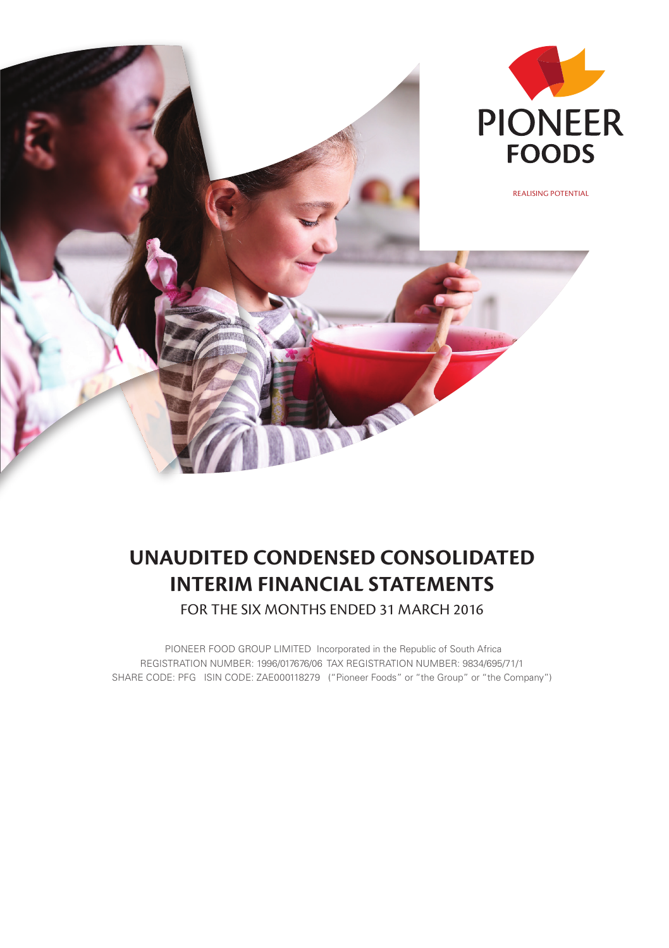

# **UNAUDITED CONDENSED CONSOLIDATED INTERIM FINANCIAL STATEMENTS**

FOR THE SIX MONTHS ENDED 31 MARCH 2016

 PIONEER FOOD GROUP LIMITED Incorporated in the Republic of South Africa REGISTRATION NUMBER: 1996/017676/06 TAX REGISTRATION NUMBER: 9834/695/71/1 SHARE CODE: PFG ISIN CODE: ZAE000118279 ("Pioneer Foods" or "the Group" or "the Company")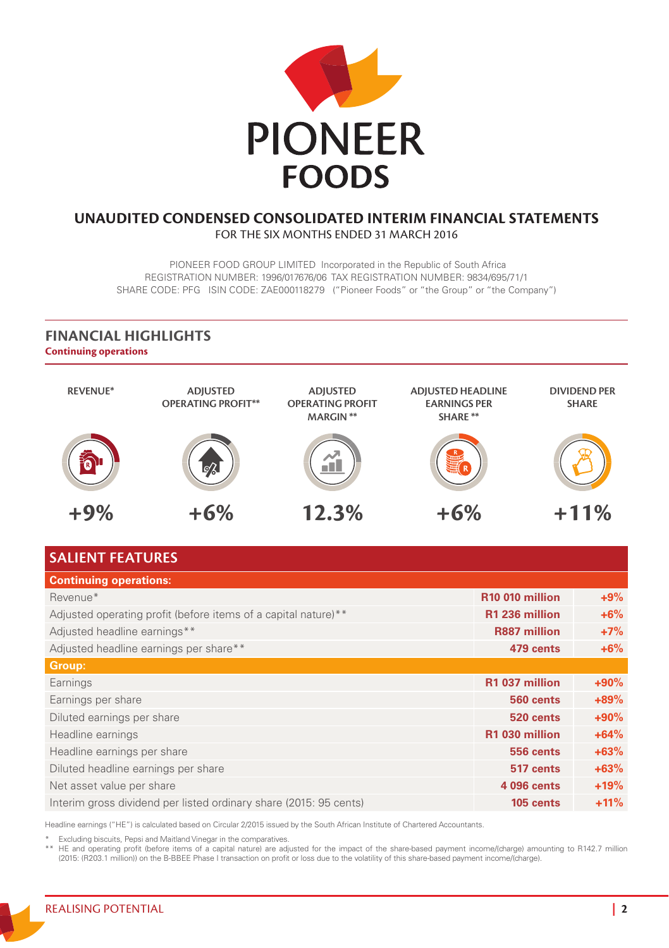

#### **UNAUDITED CONDENSED CONSOLIDATED INTERIM FINANCIAL STATEMENTS**  FOR THE SIX MONTHS ENDED 31 MARCH 2016

 PIONEER FOOD GROUP LIMITED Incorporated in the Republic of South Africa REGISTRATION NUMBER: 1996/017676/06 TAX REGISTRATION NUMBER: 9834/695/71/1 SHARE CODE: PFG ISIN CODE: ZAE000118279 ("Pioneer Foods" or "the Group" or "the Company")

#### **Continuing operations FINANCIAL HIGHLIGHTS**



### **SALIENT FEATURES**

| <b>Continuing operations:</b>                                     |                             |        |
|-------------------------------------------------------------------|-----------------------------|--------|
| Revenue*                                                          | R <sub>10</sub> 010 million | $+9%$  |
| Adjusted operating profit (before items of a capital nature)**    | R1 236 million              | $+6%$  |
| Adjusted headline earnings**                                      | <b>R887 million</b>         | $+7%$  |
| Adjusted headline earnings per share**                            | 479 cents                   | $+6%$  |
| Group:                                                            |                             |        |
| Earnings                                                          | R1 037 million              | $+90%$ |
| Earnings per share                                                | 560 cents                   | $+89%$ |
| Diluted earnings per share                                        | 520 cents                   | $+90%$ |
| Headline earnings                                                 | R1 030 million              | $+64%$ |
| Headline earnings per share                                       | 556 cents                   | $+63%$ |
| Diluted headline earnings per share                               | 517 cents                   | $+63%$ |
| Net asset value per share                                         | 4 096 cents                 | $+19%$ |
| Interim gross dividend per listed ordinary share (2015: 95 cents) | 105 cents                   | $+11%$ |

Headline earnings ("HE") is calculated based on Circular 2/2015 issued by the South African Institute of Chartered Accountants.

\* Excluding biscuits, Pepsi and Maitland Vinegar in the comparatives.

E and operating profit (before items of a capital nature) are adjusted for the impact of the share-based payment income/(charge) amounting to R142.7 million (2015: (R203.1 million)) on the B-BBEE Phase I transaction on pro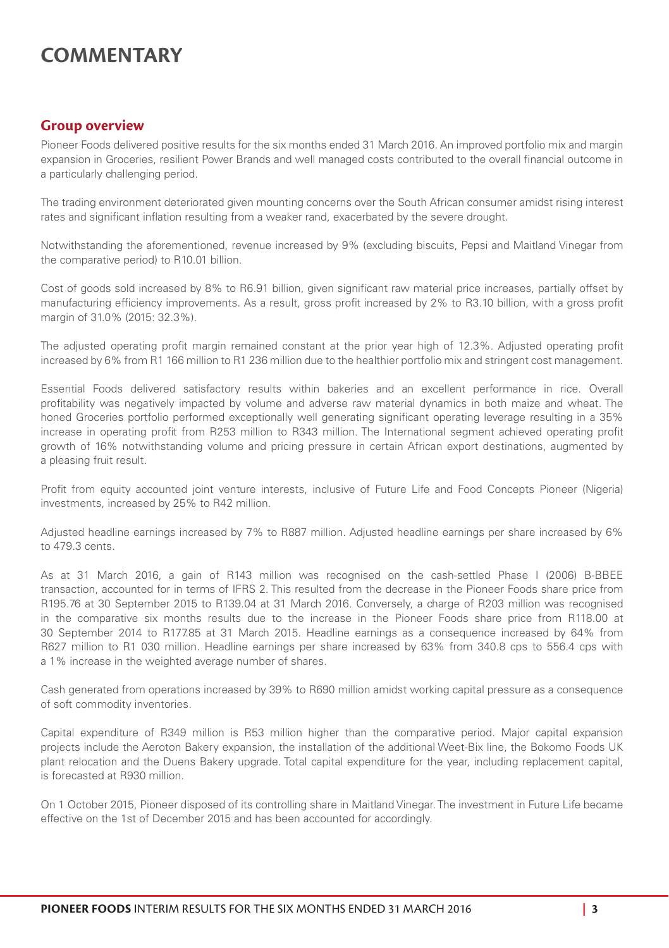# **COMMENTARY**

#### **Group overview**

Pioneer Foods delivered positive results for the six months ended 31 March 2016. An improved portfolio mix and margin expansion in Groceries, resilient Power Brands and well managed costs contributed to the overall financial outcome in a particularly challenging period.

The trading environment deteriorated given mounting concerns over the South African consumer amidst rising interest rates and significant inflation resulting from a weaker rand, exacerbated by the severe drought.

Notwithstanding the aforementioned, revenue increased by 9% (excluding biscuits, Pepsi and Maitland Vinegar from the comparative period) to R10.01 billion.

Cost of goods sold increased by 8% to R6.91 billion, given significant raw material price increases, partially offset by manufacturing efficiency improvements. As a result, gross profit increased by 2% to R3.10 billion, with a gross profit margin of 31.0% (2015: 32.3%).

The adjusted operating profit margin remained constant at the prior year high of 12.3%. Adjusted operating profit increased by 6% from R1 166 million to R1 236 million due to the healthier portfolio mix and stringent cost management.

Essential Foods delivered satisfactory results within bakeries and an excellent performance in rice. Overall profitability was negatively impacted by volume and adverse raw material dynamics in both maize and wheat. The honed Groceries portfolio performed exceptionally well generating significant operating leverage resulting in a 35% increase in operating profit from R253 million to R343 million. The International segment achieved operating profit growth of 16% notwithstanding volume and pricing pressure in certain African export destinations, augmented by a pleasing fruit result.

Profit from equity accounted joint venture interests, inclusive of Future Life and Food Concepts Pioneer (Nigeria) investments, increased by 25% to R42 million.

Adjusted headline earnings increased by 7% to R887 million. Adjusted headline earnings per share increased by 6% to 479.3 cents.

As at 31 March 2016, a gain of R143 million was recognised on the cash-settled Phase I (2006) B-BBEE transaction, accounted for in terms of IFRS 2. This resulted from the decrease in the Pioneer Foods share price from R195.76 at 30 September 2015 to R139.04 at 31 March 2016. Conversely, a charge of R203 million was recognised in the comparative six months results due to the increase in the Pioneer Foods share price from R118.00 at 30 September 2014 to R177.85 at 31 March 2015. Headline earnings as a consequence increased by 64% from R627 million to R1 030 million. Headline earnings per share increased by 63% from 340.8 cps to 556.4 cps with a 1% increase in the weighted average number of shares.

Cash generated from operations increased by 39% to R690 million amidst working capital pressure as a consequence of soft commodity inventories.

Capital expenditure of R349 million is R53 million higher than the comparative period. Major capital expansion projects include the Aeroton Bakery expansion, the installation of the additional Weet-Bix line, the Bokomo Foods UK plant relocation and the Duens Bakery upgrade. Total capital expenditure for the year, including replacement capital, is forecasted at R930 million.

On 1 October 2015, Pioneer disposed of its controlling share in Maitland Vinegar. The investment in Future Life became effective on the 1st of December 2015 and has been accounted for accordingly.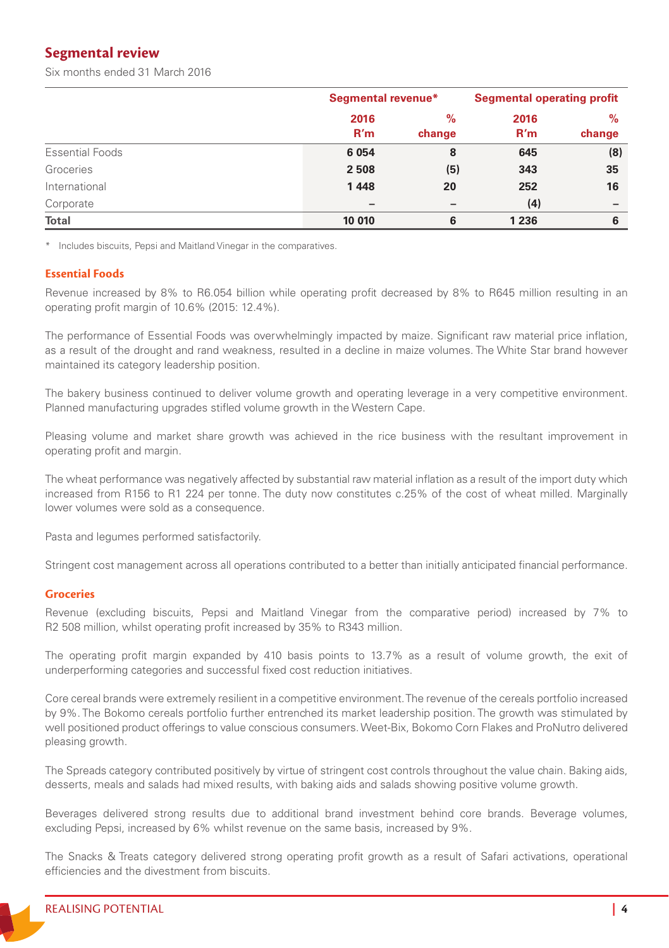### **Segmental review**

Six months ended 31 March 2016

|                        |        | Segmental revenue*       |         | <b>Segmental operating profit</b> |
|------------------------|--------|--------------------------|---------|-----------------------------------|
|                        | 2016   | $\%$                     | 2016    | $\%$                              |
|                        | R'm    | change                   | R'm     | change                            |
| <b>Essential Foods</b> | 6 0 54 | 8                        | 645     | (8)                               |
| Groceries              | 2508   | (5)                      | 343     | 35                                |
| International          | 1448   | 20                       | 252     | 16                                |
| Corporate              | -      | $\overline{\phantom{0}}$ | (4)     | -                                 |
| <b>Total</b>           | 10 010 | 6                        | 1 2 3 6 | 6                                 |

\* Includes biscuits, Pepsi and Maitland Vinegar in the comparatives.

#### **Essential Foods**

Revenue increased by 8% to R6.054 billion while operating profit decreased by 8% to R645 million resulting in an operating profit margin of 10.6% (2015: 12.4%).

The performance of Essential Foods was overwhelmingly impacted by maize. Significant raw material price inflation, as a result of the drought and rand weakness, resulted in a decline in maize volumes. The White Star brand however maintained its category leadership position.

The bakery business continued to deliver volume growth and operating leverage in a very competitive environment. Planned manufacturing upgrades stifled volume growth in the Western Cape.

Pleasing volume and market share growth was achieved in the rice business with the resultant improvement in operating profit and margin.

The wheat performance was negatively affected by substantial raw material inflation as a result of the import duty which increased from R156 to R1 224 per tonne. The duty now constitutes c.25% of the cost of wheat milled. Marginally lower volumes were sold as a consequence.

Pasta and legumes performed satisfactorily.

Stringent cost management across all operations contributed to a better than initially anticipated financial performance.

#### **Groceries**

Revenue (excluding biscuits, Pepsi and Maitland Vinegar from the comparative period) increased by 7% to R2 508 million, whilst operating profit increased by 35% to R343 million.

The operating profit margin expanded by 410 basis points to 13.7% as a result of volume growth, the exit of underperforming categories and successful fixed cost reduction initiatives.

Core cereal brands were extremely resilient in a competitive environment. The revenue of the cereals portfolio increased by 9%. The Bokomo cereals portfolio further entrenched its market leadership position. The growth was stimulated by well positioned product offerings to value conscious consumers. Weet-Bix, Bokomo Corn Flakes and ProNutro delivered pleasing growth.

The Spreads category contributed positively by virtue of stringent cost controls throughout the value chain. Baking aids, desserts, meals and salads had mixed results, with baking aids and salads showing positive volume growth.

Beverages delivered strong results due to additional brand investment behind core brands. Beverage volumes, excluding Pepsi, increased by 6% whilst revenue on the same basis, increased by 9%.

The Snacks & Treats category delivered strong operating profit growth as a result of Safari activations, operational efficiencies and the divestment from biscuits.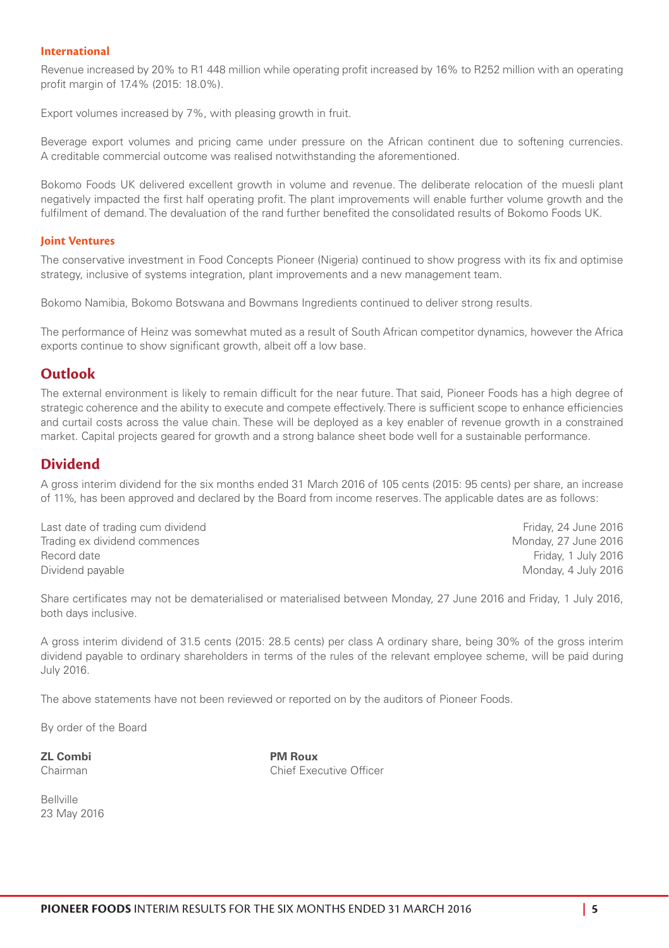#### **International**

Revenue increased by 20% to R1 448 million while operating profit increased by 16% to R252 million with an operating profit margin of 17.4% (2015: 18.0%).

Export volumes increased by 7%, with pleasing growth in fruit.

Beverage export volumes and pricing came under pressure on the African continent due to softening currencies. A creditable commercial outcome was realised notwithstanding the aforementioned.

Bokomo Foods UK delivered excellent growth in volume and revenue. The deliberate relocation of the muesli plant negatively impacted the first half operating profit. The plant improvements will enable further volume growth and the fulfilment of demand. The devaluation of the rand further benefited the consolidated results of Bokomo Foods UK.

#### **Joint Ventures**

The conservative investment in Food Concepts Pioneer (Nigeria) continued to show progress with its fix and optimise strategy, inclusive of systems integration, plant improvements and a new management team.

Bokomo Namibia, Bokomo Botswana and Bowmans Ingredients continued to deliver strong results.

The performance of Heinz was somewhat muted as a result of South African competitor dynamics, however the Africa exports continue to show significant growth, albeit off a low base.

#### **Outlook**

The external environment is likely to remain difficult for the near future. That said, Pioneer Foods has a high degree of strategic coherence and the ability to execute and compete effectively. There is sufficient scope to enhance efficiencies and curtail costs across the value chain. These will be deployed as a key enabler of revenue growth in a constrained market. Capital projects geared for growth and a strong balance sheet bode well for a sustainable performance.

#### **Dividend**

A gross interim dividend for the six months ended 31 March 2016 of 105 cents (2015: 95 cents) per share, an increase of 11%, has been approved and declared by the Board from income reserves. The applicable dates are as follows:

Last date of trading cum dividend Friday, 24 June 2016 Trading ex dividend commences and the state of the state of the Monday, 27 June 2016 Record date **Friday, 1 July 2016 Record date** Friday, 1 July 2016 Dividend payable **Monday, 4 July 2016** 2016

Share certificates may not be dematerialised or materialised between Monday, 27 June 2016 and Friday, 1 July 2016, both days inclusive.

A gross interim dividend of 31.5 cents (2015: 28.5 cents) per class A ordinary share, being 30% of the gross interim dividend payable to ordinary shareholders in terms of the rules of the relevant employee scheme, will be paid during July 2016.

The above statements have not been reviewed or reported on by the auditors of Pioneer Foods.

By order of the Board

**ZL Combi PM Roux**

Chairman Chairman Chief Executive Officer

Bellville 23 May 2016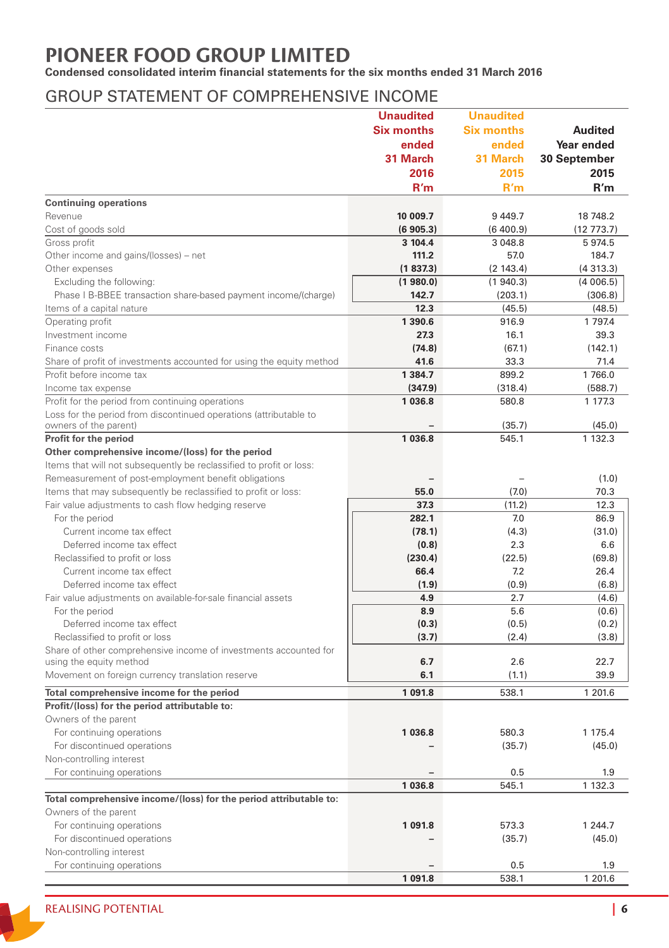# **PIONEER FOOD GROUP LIMITED**

**Condensed consolidated interim financial statements for the six months ended 31 March 2016**

### GROUP STATEMENT OF COMPREHENSIVE INCOME

|                                                                                                                         | <b>Unaudited</b>  | <b>Unaudited</b>  |                |
|-------------------------------------------------------------------------------------------------------------------------|-------------------|-------------------|----------------|
|                                                                                                                         | <b>Six months</b> | <b>Six months</b> | <b>Audited</b> |
|                                                                                                                         | ended             | ended             | Year ended     |
|                                                                                                                         | 31 March          | 31 March          | 30 September   |
|                                                                                                                         | 2016              | 2015              | 2015           |
|                                                                                                                         | R'm               | R'm               | R'm            |
| <b>Continuing operations</b>                                                                                            |                   |                   |                |
| Revenue                                                                                                                 | 10 009.7          | 9 4 4 9.7         | 18 748.2       |
| Cost of goods sold                                                                                                      | (6905.3)          | (6400.9)          | (12773.7)      |
| Gross profit                                                                                                            | 3 104.4           | 3 048.8           | 5974.5         |
| Other income and gains/(losses) - net                                                                                   | 111.2             | 57.0              | 184.7          |
| Other expenses                                                                                                          | (1837.3)          | (2143.4)          | (4313.3)       |
| Excluding the following:                                                                                                | (1980.0)          | (1940.3)          | (4006.5)       |
| Phase I B-BBEE transaction share-based payment income/(charge)                                                          | 142.7             | (203.1)           | (306.8)        |
| Items of a capital nature                                                                                               | 12.3              | (45.5)            | (48.5)         |
| Operating profit                                                                                                        | 1 3 9 0.6         | 916.9             | 1 7 9 7.4      |
| Investment income                                                                                                       | 27.3              | 16.1              | 39.3           |
| Finance costs                                                                                                           | (74.8)            | (67.1)            | (142.1)        |
| Share of profit of investments accounted for using the equity method                                                    | 41.6              | 33.3              | 71.4           |
| Profit before income tax                                                                                                | 1 3 8 4 . 7       | 899.2             | 1766.0         |
| Income tax expense                                                                                                      | (347.9)           | (318.4)           | (588.7)        |
| Profit for the period from continuing operations                                                                        | 1036.8            | 580.8             | 1 177.3        |
| Loss for the period from discontinued operations (attributable to                                                       |                   |                   |                |
| owners of the parent)                                                                                                   |                   | (35.7)            | (45.0)         |
| Profit for the period                                                                                                   | 1 036.8           | 545.1             | 1 132.3        |
| Other comprehensive income/(loss) for the period<br>Items that will not subsequently be reclassified to profit or loss: |                   |                   |                |
| Remeasurement of post-employment benefit obligations                                                                    |                   |                   | (1.0)          |
| Items that may subsequently be reclassified to profit or loss:                                                          | 55.0              | (7.0)             | 70.3           |
| Fair value adjustments to cash flow hedging reserve                                                                     | 37.3              | (11.2)            | 12.3           |
| For the period                                                                                                          | 282.1             | 7.0               | 86.9           |
| Current income tax effect                                                                                               | (78.1)            | (4.3)             | (31.0)         |
| Deferred income tax effect                                                                                              | (0.8)             | 2.3               | 6.6            |
| Reclassified to profit or loss                                                                                          | (230.4)           | (22.5)            | (69.8)         |
| Current income tax effect                                                                                               | 66.4              | 7.2               | 26.4           |
| Deferred income tax effect                                                                                              | (1.9)             | (0.9)             | (6.8)          |
| Fair value adjustments on available-for-sale financial assets                                                           | 4.9               | 2.7               | (4.6)          |
| For the period                                                                                                          | 8.9               | 5.6               | (0.6)          |
| Deferred income tax effect                                                                                              | (0.3)             | (0.5)             | (0.2)          |
| Reclassified to profit or loss                                                                                          | (3.7)             | (2.4)             | (3.8)          |
| Share of other comprehensive income of investments accounted for                                                        |                   |                   |                |
| using the equity method                                                                                                 | 6.7               | 2.6               | 22.7           |
| Movement on foreign currency translation reserve                                                                        | 6.1               | (1.1)             | 39.9           |
| Total comprehensive income for the period                                                                               | 1 091.8           | 538.1             | 1 201.6        |
| Profit/(loss) for the period attributable to:                                                                           |                   |                   |                |
| Owners of the parent                                                                                                    |                   |                   |                |
| For continuing operations                                                                                               | 1036.8            | 580.3             | 1 175.4        |
| For discontinued operations                                                                                             |                   | (35.7)            | (45.0)         |
| Non-controlling interest                                                                                                |                   |                   |                |
| For continuing operations                                                                                               |                   | 0.5               | 1.9            |
|                                                                                                                         | 1036.8            | 545.1             | 1 132.3        |
| Total comprehensive income/(loss) for the period attributable to:                                                       |                   |                   |                |
| Owners of the parent                                                                                                    |                   |                   |                |
| For continuing operations                                                                                               | 1 091.8           | 573.3             | 1 244.7        |
| For discontinued operations                                                                                             |                   | (35.7)            | (45.0)         |
| Non-controlling interest                                                                                                |                   |                   |                |
| For continuing operations                                                                                               |                   | 0.5               | 1.9            |
|                                                                                                                         | 1 091.8           | 538.1             | 1 201.6        |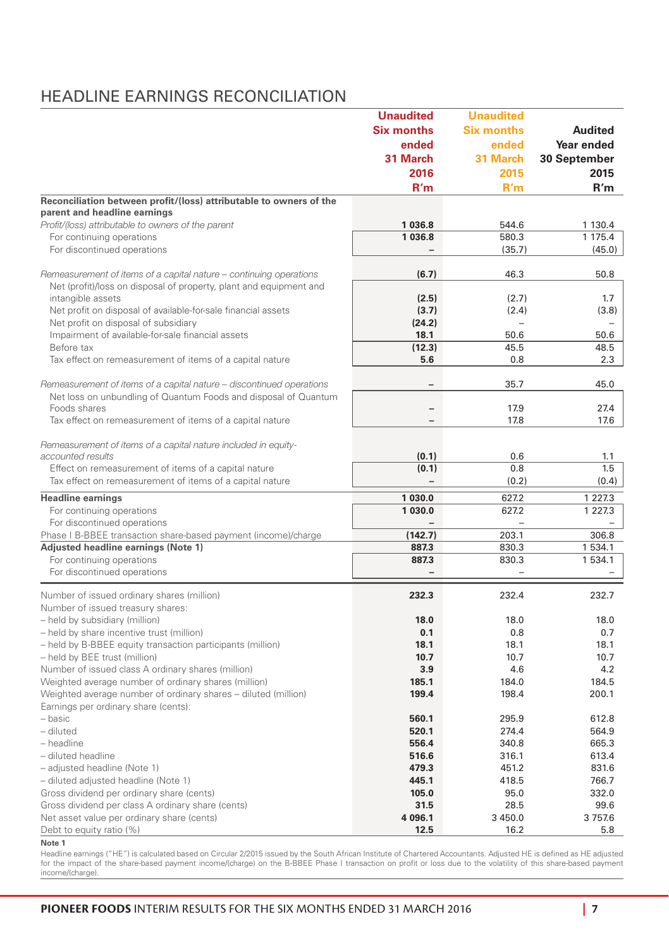### HEADLINE EARNINGS RECONCILIATION

| <b>Six months</b><br><b>Six months</b><br><b>Audited</b><br>ended<br>ended<br>Year ended<br>31 March<br>31 March<br>30 September<br>2016<br>2015<br>2015<br>R'm<br>R'm<br>R'm<br>Reconciliation between profit/(loss) attributable to owners of the<br>parent and headline earnings<br>Profit/(loss) attributable to owners of the parent<br>1 036.8<br>544.6<br>1 130.4<br>1 036.8<br>580.3<br>1 175.4<br>For continuing operations<br>For discontinued operations<br>(45.0)<br>(35.7)<br>(6.7)<br>46.3<br>50.8<br>Remeasurement of items of a capital nature – continuing operations<br>Net (profit)/loss on disposal of property, plant and equipment and<br>(2.5)<br>intangible assets<br>(2.7)<br>1.7<br>(3.7)<br>Net profit on disposal of available-for-sale financial assets<br>(2.4)<br>(3.8)<br>Net profit on disposal of subsidiary<br>(24.2)<br>$\overline{\phantom{0}}$<br>Impairment of available-for-sale financial assets<br>18.1<br>50.6<br>50.6<br>Before tax<br>(12.3)<br>45.5<br>48.5<br>5.6<br>Tax effect on remeasurement of items of a capital nature<br>0.8<br>2.3<br>Remeasurement of items of a capital nature - discontinued operations<br>35.7<br>45.0<br>Net loss on unbundling of Quantum Foods and disposal of Quantum<br>27.4<br>Foods shares<br>17.9<br>$\overline{\phantom{a}}$<br>Tax effect on remeasurement of items of a capital nature<br>17.8<br>17.6<br>$\overline{\phantom{a}}$<br>Remeasurement of items of a capital nature included in equity-<br>accounted results<br>(0.1)<br>0.6<br>1.1<br>Effect on remeasurement of items of a capital nature<br>(0.1)<br>0.8<br>1.5<br>Tax effect on remeasurement of items of a capital nature<br>(0.2)<br>(0.4)<br>1 030.0<br><b>Headline earnings</b><br>627.2<br>1 2 2 7 . 3<br>1 030.0<br>For continuing operations<br>627.2<br>1 2 2 7 . 3<br>For discontinued operations<br>(142.7)<br>203.1<br>306.8<br>Phase I B-BBEE transaction share-based payment (income)/charge<br>Adjusted headline earnings (Note 1)<br>887.3<br>830.3<br>1534.1<br>830.3<br>For continuing operations<br>887.3<br>1534.1<br>For discontinued operations<br>$\overline{\phantom{0}}$<br>Number of issued ordinary shares (million)<br>232.3<br>232.4<br>232.7<br>Number of issued treasury shares:<br>- held by subsidiary (million)<br>18.0<br>18.0<br>18.0<br>- held by share incentive trust (million)<br>0.1<br>0.8<br>0.7<br>- held by B-BBEE equity transaction participants (million)<br>18.1<br>18.1<br>18.1<br>- held by BEE trust (million)<br>10.7<br>10.7<br>10.7<br>Number of issued class A ordinary shares (million)<br>3.9<br>4.6<br>4.2<br>Weighted average number of ordinary shares (million)<br>185.1<br>184.0<br>184.5<br>Weighted average number of ordinary shares - diluted (million)<br>199.4<br>198.4<br>200.1<br>Earnings per ordinary share (cents):<br>295.9<br>612.8<br>– basic<br>560.1<br>520.1<br>- diluted<br>274.4<br>564.9<br>- headline<br>340.8<br>556.4<br>665.3<br>- diluted headline<br>516.6<br>316.1<br>613.4<br>- adjusted headline (Note 1)<br>479.3<br>451.2<br>831.6<br>- diluted adjusted headline (Note 1)<br>445.1<br>418.5<br>766.7<br>Gross dividend per ordinary share (cents)<br>105.0<br>95.0<br>332.0<br>Gross dividend per class A ordinary share (cents)<br>31.5<br>28.5<br>99.6<br>Net asset value per ordinary share (cents)<br>4 096.1<br>3 450.0<br>3757.6<br>12.5<br>16.2<br>5.8<br>Debt to equity ratio (%) | <b>Unaudited</b> | <b>Unaudited</b> |  |
|-------------------------------------------------------------------------------------------------------------------------------------------------------------------------------------------------------------------------------------------------------------------------------------------------------------------------------------------------------------------------------------------------------------------------------------------------------------------------------------------------------------------------------------------------------------------------------------------------------------------------------------------------------------------------------------------------------------------------------------------------------------------------------------------------------------------------------------------------------------------------------------------------------------------------------------------------------------------------------------------------------------------------------------------------------------------------------------------------------------------------------------------------------------------------------------------------------------------------------------------------------------------------------------------------------------------------------------------------------------------------------------------------------------------------------------------------------------------------------------------------------------------------------------------------------------------------------------------------------------------------------------------------------------------------------------------------------------------------------------------------------------------------------------------------------------------------------------------------------------------------------------------------------------------------------------------------------------------------------------------------------------------------------------------------------------------------------------------------------------------------------------------------------------------------------------------------------------------------------------------------------------------------------------------------------------------------------------------------------------------------------------------------------------------------------------------------------------------------------------------------------------------------------------------------------------------------------------------------------------------------------------------------------------------------------------------------------------------------------------------------------------------------------------------------------------------------------------------------------------------------------------------------------------------------------------------------------------------------------------------------------------------------------------------------------------------------------------------------------------------------------------------------------------------------------------------------------------------------------------------------------------------------------------------------------------------------------------------------------------------------------------------------------------------------------------------------|------------------|------------------|--|
|                                                                                                                                                                                                                                                                                                                                                                                                                                                                                                                                                                                                                                                                                                                                                                                                                                                                                                                                                                                                                                                                                                                                                                                                                                                                                                                                                                                                                                                                                                                                                                                                                                                                                                                                                                                                                                                                                                                                                                                                                                                                                                                                                                                                                                                                                                                                                                                                                                                                                                                                                                                                                                                                                                                                                                                                                                                                                                                                                                                                                                                                                                                                                                                                                                                                                                                                                                                                                                                 |                  |                  |  |
|                                                                                                                                                                                                                                                                                                                                                                                                                                                                                                                                                                                                                                                                                                                                                                                                                                                                                                                                                                                                                                                                                                                                                                                                                                                                                                                                                                                                                                                                                                                                                                                                                                                                                                                                                                                                                                                                                                                                                                                                                                                                                                                                                                                                                                                                                                                                                                                                                                                                                                                                                                                                                                                                                                                                                                                                                                                                                                                                                                                                                                                                                                                                                                                                                                                                                                                                                                                                                                                 |                  |                  |  |
|                                                                                                                                                                                                                                                                                                                                                                                                                                                                                                                                                                                                                                                                                                                                                                                                                                                                                                                                                                                                                                                                                                                                                                                                                                                                                                                                                                                                                                                                                                                                                                                                                                                                                                                                                                                                                                                                                                                                                                                                                                                                                                                                                                                                                                                                                                                                                                                                                                                                                                                                                                                                                                                                                                                                                                                                                                                                                                                                                                                                                                                                                                                                                                                                                                                                                                                                                                                                                                                 |                  |                  |  |
|                                                                                                                                                                                                                                                                                                                                                                                                                                                                                                                                                                                                                                                                                                                                                                                                                                                                                                                                                                                                                                                                                                                                                                                                                                                                                                                                                                                                                                                                                                                                                                                                                                                                                                                                                                                                                                                                                                                                                                                                                                                                                                                                                                                                                                                                                                                                                                                                                                                                                                                                                                                                                                                                                                                                                                                                                                                                                                                                                                                                                                                                                                                                                                                                                                                                                                                                                                                                                                                 |                  |                  |  |
|                                                                                                                                                                                                                                                                                                                                                                                                                                                                                                                                                                                                                                                                                                                                                                                                                                                                                                                                                                                                                                                                                                                                                                                                                                                                                                                                                                                                                                                                                                                                                                                                                                                                                                                                                                                                                                                                                                                                                                                                                                                                                                                                                                                                                                                                                                                                                                                                                                                                                                                                                                                                                                                                                                                                                                                                                                                                                                                                                                                                                                                                                                                                                                                                                                                                                                                                                                                                                                                 |                  |                  |  |
|                                                                                                                                                                                                                                                                                                                                                                                                                                                                                                                                                                                                                                                                                                                                                                                                                                                                                                                                                                                                                                                                                                                                                                                                                                                                                                                                                                                                                                                                                                                                                                                                                                                                                                                                                                                                                                                                                                                                                                                                                                                                                                                                                                                                                                                                                                                                                                                                                                                                                                                                                                                                                                                                                                                                                                                                                                                                                                                                                                                                                                                                                                                                                                                                                                                                                                                                                                                                                                                 |                  |                  |  |
|                                                                                                                                                                                                                                                                                                                                                                                                                                                                                                                                                                                                                                                                                                                                                                                                                                                                                                                                                                                                                                                                                                                                                                                                                                                                                                                                                                                                                                                                                                                                                                                                                                                                                                                                                                                                                                                                                                                                                                                                                                                                                                                                                                                                                                                                                                                                                                                                                                                                                                                                                                                                                                                                                                                                                                                                                                                                                                                                                                                                                                                                                                                                                                                                                                                                                                                                                                                                                                                 |                  |                  |  |
|                                                                                                                                                                                                                                                                                                                                                                                                                                                                                                                                                                                                                                                                                                                                                                                                                                                                                                                                                                                                                                                                                                                                                                                                                                                                                                                                                                                                                                                                                                                                                                                                                                                                                                                                                                                                                                                                                                                                                                                                                                                                                                                                                                                                                                                                                                                                                                                                                                                                                                                                                                                                                                                                                                                                                                                                                                                                                                                                                                                                                                                                                                                                                                                                                                                                                                                                                                                                                                                 |                  |                  |  |
|                                                                                                                                                                                                                                                                                                                                                                                                                                                                                                                                                                                                                                                                                                                                                                                                                                                                                                                                                                                                                                                                                                                                                                                                                                                                                                                                                                                                                                                                                                                                                                                                                                                                                                                                                                                                                                                                                                                                                                                                                                                                                                                                                                                                                                                                                                                                                                                                                                                                                                                                                                                                                                                                                                                                                                                                                                                                                                                                                                                                                                                                                                                                                                                                                                                                                                                                                                                                                                                 |                  |                  |  |
|                                                                                                                                                                                                                                                                                                                                                                                                                                                                                                                                                                                                                                                                                                                                                                                                                                                                                                                                                                                                                                                                                                                                                                                                                                                                                                                                                                                                                                                                                                                                                                                                                                                                                                                                                                                                                                                                                                                                                                                                                                                                                                                                                                                                                                                                                                                                                                                                                                                                                                                                                                                                                                                                                                                                                                                                                                                                                                                                                                                                                                                                                                                                                                                                                                                                                                                                                                                                                                                 |                  |                  |  |
|                                                                                                                                                                                                                                                                                                                                                                                                                                                                                                                                                                                                                                                                                                                                                                                                                                                                                                                                                                                                                                                                                                                                                                                                                                                                                                                                                                                                                                                                                                                                                                                                                                                                                                                                                                                                                                                                                                                                                                                                                                                                                                                                                                                                                                                                                                                                                                                                                                                                                                                                                                                                                                                                                                                                                                                                                                                                                                                                                                                                                                                                                                                                                                                                                                                                                                                                                                                                                                                 |                  |                  |  |
|                                                                                                                                                                                                                                                                                                                                                                                                                                                                                                                                                                                                                                                                                                                                                                                                                                                                                                                                                                                                                                                                                                                                                                                                                                                                                                                                                                                                                                                                                                                                                                                                                                                                                                                                                                                                                                                                                                                                                                                                                                                                                                                                                                                                                                                                                                                                                                                                                                                                                                                                                                                                                                                                                                                                                                                                                                                                                                                                                                                                                                                                                                                                                                                                                                                                                                                                                                                                                                                 |                  |                  |  |
|                                                                                                                                                                                                                                                                                                                                                                                                                                                                                                                                                                                                                                                                                                                                                                                                                                                                                                                                                                                                                                                                                                                                                                                                                                                                                                                                                                                                                                                                                                                                                                                                                                                                                                                                                                                                                                                                                                                                                                                                                                                                                                                                                                                                                                                                                                                                                                                                                                                                                                                                                                                                                                                                                                                                                                                                                                                                                                                                                                                                                                                                                                                                                                                                                                                                                                                                                                                                                                                 |                  |                  |  |
|                                                                                                                                                                                                                                                                                                                                                                                                                                                                                                                                                                                                                                                                                                                                                                                                                                                                                                                                                                                                                                                                                                                                                                                                                                                                                                                                                                                                                                                                                                                                                                                                                                                                                                                                                                                                                                                                                                                                                                                                                                                                                                                                                                                                                                                                                                                                                                                                                                                                                                                                                                                                                                                                                                                                                                                                                                                                                                                                                                                                                                                                                                                                                                                                                                                                                                                                                                                                                                                 |                  |                  |  |
|                                                                                                                                                                                                                                                                                                                                                                                                                                                                                                                                                                                                                                                                                                                                                                                                                                                                                                                                                                                                                                                                                                                                                                                                                                                                                                                                                                                                                                                                                                                                                                                                                                                                                                                                                                                                                                                                                                                                                                                                                                                                                                                                                                                                                                                                                                                                                                                                                                                                                                                                                                                                                                                                                                                                                                                                                                                                                                                                                                                                                                                                                                                                                                                                                                                                                                                                                                                                                                                 |                  |                  |  |
|                                                                                                                                                                                                                                                                                                                                                                                                                                                                                                                                                                                                                                                                                                                                                                                                                                                                                                                                                                                                                                                                                                                                                                                                                                                                                                                                                                                                                                                                                                                                                                                                                                                                                                                                                                                                                                                                                                                                                                                                                                                                                                                                                                                                                                                                                                                                                                                                                                                                                                                                                                                                                                                                                                                                                                                                                                                                                                                                                                                                                                                                                                                                                                                                                                                                                                                                                                                                                                                 |                  |                  |  |
|                                                                                                                                                                                                                                                                                                                                                                                                                                                                                                                                                                                                                                                                                                                                                                                                                                                                                                                                                                                                                                                                                                                                                                                                                                                                                                                                                                                                                                                                                                                                                                                                                                                                                                                                                                                                                                                                                                                                                                                                                                                                                                                                                                                                                                                                                                                                                                                                                                                                                                                                                                                                                                                                                                                                                                                                                                                                                                                                                                                                                                                                                                                                                                                                                                                                                                                                                                                                                                                 |                  |                  |  |
|                                                                                                                                                                                                                                                                                                                                                                                                                                                                                                                                                                                                                                                                                                                                                                                                                                                                                                                                                                                                                                                                                                                                                                                                                                                                                                                                                                                                                                                                                                                                                                                                                                                                                                                                                                                                                                                                                                                                                                                                                                                                                                                                                                                                                                                                                                                                                                                                                                                                                                                                                                                                                                                                                                                                                                                                                                                                                                                                                                                                                                                                                                                                                                                                                                                                                                                                                                                                                                                 |                  |                  |  |
|                                                                                                                                                                                                                                                                                                                                                                                                                                                                                                                                                                                                                                                                                                                                                                                                                                                                                                                                                                                                                                                                                                                                                                                                                                                                                                                                                                                                                                                                                                                                                                                                                                                                                                                                                                                                                                                                                                                                                                                                                                                                                                                                                                                                                                                                                                                                                                                                                                                                                                                                                                                                                                                                                                                                                                                                                                                                                                                                                                                                                                                                                                                                                                                                                                                                                                                                                                                                                                                 |                  |                  |  |
|                                                                                                                                                                                                                                                                                                                                                                                                                                                                                                                                                                                                                                                                                                                                                                                                                                                                                                                                                                                                                                                                                                                                                                                                                                                                                                                                                                                                                                                                                                                                                                                                                                                                                                                                                                                                                                                                                                                                                                                                                                                                                                                                                                                                                                                                                                                                                                                                                                                                                                                                                                                                                                                                                                                                                                                                                                                                                                                                                                                                                                                                                                                                                                                                                                                                                                                                                                                                                                                 |                  |                  |  |
|                                                                                                                                                                                                                                                                                                                                                                                                                                                                                                                                                                                                                                                                                                                                                                                                                                                                                                                                                                                                                                                                                                                                                                                                                                                                                                                                                                                                                                                                                                                                                                                                                                                                                                                                                                                                                                                                                                                                                                                                                                                                                                                                                                                                                                                                                                                                                                                                                                                                                                                                                                                                                                                                                                                                                                                                                                                                                                                                                                                                                                                                                                                                                                                                                                                                                                                                                                                                                                                 |                  |                  |  |
|                                                                                                                                                                                                                                                                                                                                                                                                                                                                                                                                                                                                                                                                                                                                                                                                                                                                                                                                                                                                                                                                                                                                                                                                                                                                                                                                                                                                                                                                                                                                                                                                                                                                                                                                                                                                                                                                                                                                                                                                                                                                                                                                                                                                                                                                                                                                                                                                                                                                                                                                                                                                                                                                                                                                                                                                                                                                                                                                                                                                                                                                                                                                                                                                                                                                                                                                                                                                                                                 |                  |                  |  |
|                                                                                                                                                                                                                                                                                                                                                                                                                                                                                                                                                                                                                                                                                                                                                                                                                                                                                                                                                                                                                                                                                                                                                                                                                                                                                                                                                                                                                                                                                                                                                                                                                                                                                                                                                                                                                                                                                                                                                                                                                                                                                                                                                                                                                                                                                                                                                                                                                                                                                                                                                                                                                                                                                                                                                                                                                                                                                                                                                                                                                                                                                                                                                                                                                                                                                                                                                                                                                                                 |                  |                  |  |
|                                                                                                                                                                                                                                                                                                                                                                                                                                                                                                                                                                                                                                                                                                                                                                                                                                                                                                                                                                                                                                                                                                                                                                                                                                                                                                                                                                                                                                                                                                                                                                                                                                                                                                                                                                                                                                                                                                                                                                                                                                                                                                                                                                                                                                                                                                                                                                                                                                                                                                                                                                                                                                                                                                                                                                                                                                                                                                                                                                                                                                                                                                                                                                                                                                                                                                                                                                                                                                                 |                  |                  |  |
|                                                                                                                                                                                                                                                                                                                                                                                                                                                                                                                                                                                                                                                                                                                                                                                                                                                                                                                                                                                                                                                                                                                                                                                                                                                                                                                                                                                                                                                                                                                                                                                                                                                                                                                                                                                                                                                                                                                                                                                                                                                                                                                                                                                                                                                                                                                                                                                                                                                                                                                                                                                                                                                                                                                                                                                                                                                                                                                                                                                                                                                                                                                                                                                                                                                                                                                                                                                                                                                 |                  |                  |  |
|                                                                                                                                                                                                                                                                                                                                                                                                                                                                                                                                                                                                                                                                                                                                                                                                                                                                                                                                                                                                                                                                                                                                                                                                                                                                                                                                                                                                                                                                                                                                                                                                                                                                                                                                                                                                                                                                                                                                                                                                                                                                                                                                                                                                                                                                                                                                                                                                                                                                                                                                                                                                                                                                                                                                                                                                                                                                                                                                                                                                                                                                                                                                                                                                                                                                                                                                                                                                                                                 |                  |                  |  |
|                                                                                                                                                                                                                                                                                                                                                                                                                                                                                                                                                                                                                                                                                                                                                                                                                                                                                                                                                                                                                                                                                                                                                                                                                                                                                                                                                                                                                                                                                                                                                                                                                                                                                                                                                                                                                                                                                                                                                                                                                                                                                                                                                                                                                                                                                                                                                                                                                                                                                                                                                                                                                                                                                                                                                                                                                                                                                                                                                                                                                                                                                                                                                                                                                                                                                                                                                                                                                                                 |                  |                  |  |
|                                                                                                                                                                                                                                                                                                                                                                                                                                                                                                                                                                                                                                                                                                                                                                                                                                                                                                                                                                                                                                                                                                                                                                                                                                                                                                                                                                                                                                                                                                                                                                                                                                                                                                                                                                                                                                                                                                                                                                                                                                                                                                                                                                                                                                                                                                                                                                                                                                                                                                                                                                                                                                                                                                                                                                                                                                                                                                                                                                                                                                                                                                                                                                                                                                                                                                                                                                                                                                                 |                  |                  |  |
|                                                                                                                                                                                                                                                                                                                                                                                                                                                                                                                                                                                                                                                                                                                                                                                                                                                                                                                                                                                                                                                                                                                                                                                                                                                                                                                                                                                                                                                                                                                                                                                                                                                                                                                                                                                                                                                                                                                                                                                                                                                                                                                                                                                                                                                                                                                                                                                                                                                                                                                                                                                                                                                                                                                                                                                                                                                                                                                                                                                                                                                                                                                                                                                                                                                                                                                                                                                                                                                 |                  |                  |  |
|                                                                                                                                                                                                                                                                                                                                                                                                                                                                                                                                                                                                                                                                                                                                                                                                                                                                                                                                                                                                                                                                                                                                                                                                                                                                                                                                                                                                                                                                                                                                                                                                                                                                                                                                                                                                                                                                                                                                                                                                                                                                                                                                                                                                                                                                                                                                                                                                                                                                                                                                                                                                                                                                                                                                                                                                                                                                                                                                                                                                                                                                                                                                                                                                                                                                                                                                                                                                                                                 |                  |                  |  |
|                                                                                                                                                                                                                                                                                                                                                                                                                                                                                                                                                                                                                                                                                                                                                                                                                                                                                                                                                                                                                                                                                                                                                                                                                                                                                                                                                                                                                                                                                                                                                                                                                                                                                                                                                                                                                                                                                                                                                                                                                                                                                                                                                                                                                                                                                                                                                                                                                                                                                                                                                                                                                                                                                                                                                                                                                                                                                                                                                                                                                                                                                                                                                                                                                                                                                                                                                                                                                                                 |                  |                  |  |
|                                                                                                                                                                                                                                                                                                                                                                                                                                                                                                                                                                                                                                                                                                                                                                                                                                                                                                                                                                                                                                                                                                                                                                                                                                                                                                                                                                                                                                                                                                                                                                                                                                                                                                                                                                                                                                                                                                                                                                                                                                                                                                                                                                                                                                                                                                                                                                                                                                                                                                                                                                                                                                                                                                                                                                                                                                                                                                                                                                                                                                                                                                                                                                                                                                                                                                                                                                                                                                                 |                  |                  |  |
|                                                                                                                                                                                                                                                                                                                                                                                                                                                                                                                                                                                                                                                                                                                                                                                                                                                                                                                                                                                                                                                                                                                                                                                                                                                                                                                                                                                                                                                                                                                                                                                                                                                                                                                                                                                                                                                                                                                                                                                                                                                                                                                                                                                                                                                                                                                                                                                                                                                                                                                                                                                                                                                                                                                                                                                                                                                                                                                                                                                                                                                                                                                                                                                                                                                                                                                                                                                                                                                 |                  |                  |  |
|                                                                                                                                                                                                                                                                                                                                                                                                                                                                                                                                                                                                                                                                                                                                                                                                                                                                                                                                                                                                                                                                                                                                                                                                                                                                                                                                                                                                                                                                                                                                                                                                                                                                                                                                                                                                                                                                                                                                                                                                                                                                                                                                                                                                                                                                                                                                                                                                                                                                                                                                                                                                                                                                                                                                                                                                                                                                                                                                                                                                                                                                                                                                                                                                                                                                                                                                                                                                                                                 |                  |                  |  |
|                                                                                                                                                                                                                                                                                                                                                                                                                                                                                                                                                                                                                                                                                                                                                                                                                                                                                                                                                                                                                                                                                                                                                                                                                                                                                                                                                                                                                                                                                                                                                                                                                                                                                                                                                                                                                                                                                                                                                                                                                                                                                                                                                                                                                                                                                                                                                                                                                                                                                                                                                                                                                                                                                                                                                                                                                                                                                                                                                                                                                                                                                                                                                                                                                                                                                                                                                                                                                                                 |                  |                  |  |
|                                                                                                                                                                                                                                                                                                                                                                                                                                                                                                                                                                                                                                                                                                                                                                                                                                                                                                                                                                                                                                                                                                                                                                                                                                                                                                                                                                                                                                                                                                                                                                                                                                                                                                                                                                                                                                                                                                                                                                                                                                                                                                                                                                                                                                                                                                                                                                                                                                                                                                                                                                                                                                                                                                                                                                                                                                                                                                                                                                                                                                                                                                                                                                                                                                                                                                                                                                                                                                                 |                  |                  |  |
|                                                                                                                                                                                                                                                                                                                                                                                                                                                                                                                                                                                                                                                                                                                                                                                                                                                                                                                                                                                                                                                                                                                                                                                                                                                                                                                                                                                                                                                                                                                                                                                                                                                                                                                                                                                                                                                                                                                                                                                                                                                                                                                                                                                                                                                                                                                                                                                                                                                                                                                                                                                                                                                                                                                                                                                                                                                                                                                                                                                                                                                                                                                                                                                                                                                                                                                                                                                                                                                 |                  |                  |  |
|                                                                                                                                                                                                                                                                                                                                                                                                                                                                                                                                                                                                                                                                                                                                                                                                                                                                                                                                                                                                                                                                                                                                                                                                                                                                                                                                                                                                                                                                                                                                                                                                                                                                                                                                                                                                                                                                                                                                                                                                                                                                                                                                                                                                                                                                                                                                                                                                                                                                                                                                                                                                                                                                                                                                                                                                                                                                                                                                                                                                                                                                                                                                                                                                                                                                                                                                                                                                                                                 |                  |                  |  |
|                                                                                                                                                                                                                                                                                                                                                                                                                                                                                                                                                                                                                                                                                                                                                                                                                                                                                                                                                                                                                                                                                                                                                                                                                                                                                                                                                                                                                                                                                                                                                                                                                                                                                                                                                                                                                                                                                                                                                                                                                                                                                                                                                                                                                                                                                                                                                                                                                                                                                                                                                                                                                                                                                                                                                                                                                                                                                                                                                                                                                                                                                                                                                                                                                                                                                                                                                                                                                                                 |                  |                  |  |
|                                                                                                                                                                                                                                                                                                                                                                                                                                                                                                                                                                                                                                                                                                                                                                                                                                                                                                                                                                                                                                                                                                                                                                                                                                                                                                                                                                                                                                                                                                                                                                                                                                                                                                                                                                                                                                                                                                                                                                                                                                                                                                                                                                                                                                                                                                                                                                                                                                                                                                                                                                                                                                                                                                                                                                                                                                                                                                                                                                                                                                                                                                                                                                                                                                                                                                                                                                                                                                                 |                  |                  |  |
|                                                                                                                                                                                                                                                                                                                                                                                                                                                                                                                                                                                                                                                                                                                                                                                                                                                                                                                                                                                                                                                                                                                                                                                                                                                                                                                                                                                                                                                                                                                                                                                                                                                                                                                                                                                                                                                                                                                                                                                                                                                                                                                                                                                                                                                                                                                                                                                                                                                                                                                                                                                                                                                                                                                                                                                                                                                                                                                                                                                                                                                                                                                                                                                                                                                                                                                                                                                                                                                 |                  |                  |  |
|                                                                                                                                                                                                                                                                                                                                                                                                                                                                                                                                                                                                                                                                                                                                                                                                                                                                                                                                                                                                                                                                                                                                                                                                                                                                                                                                                                                                                                                                                                                                                                                                                                                                                                                                                                                                                                                                                                                                                                                                                                                                                                                                                                                                                                                                                                                                                                                                                                                                                                                                                                                                                                                                                                                                                                                                                                                                                                                                                                                                                                                                                                                                                                                                                                                                                                                                                                                                                                                 |                  |                  |  |
|                                                                                                                                                                                                                                                                                                                                                                                                                                                                                                                                                                                                                                                                                                                                                                                                                                                                                                                                                                                                                                                                                                                                                                                                                                                                                                                                                                                                                                                                                                                                                                                                                                                                                                                                                                                                                                                                                                                                                                                                                                                                                                                                                                                                                                                                                                                                                                                                                                                                                                                                                                                                                                                                                                                                                                                                                                                                                                                                                                                                                                                                                                                                                                                                                                                                                                                                                                                                                                                 |                  |                  |  |
|                                                                                                                                                                                                                                                                                                                                                                                                                                                                                                                                                                                                                                                                                                                                                                                                                                                                                                                                                                                                                                                                                                                                                                                                                                                                                                                                                                                                                                                                                                                                                                                                                                                                                                                                                                                                                                                                                                                                                                                                                                                                                                                                                                                                                                                                                                                                                                                                                                                                                                                                                                                                                                                                                                                                                                                                                                                                                                                                                                                                                                                                                                                                                                                                                                                                                                                                                                                                                                                 |                  |                  |  |
|                                                                                                                                                                                                                                                                                                                                                                                                                                                                                                                                                                                                                                                                                                                                                                                                                                                                                                                                                                                                                                                                                                                                                                                                                                                                                                                                                                                                                                                                                                                                                                                                                                                                                                                                                                                                                                                                                                                                                                                                                                                                                                                                                                                                                                                                                                                                                                                                                                                                                                                                                                                                                                                                                                                                                                                                                                                                                                                                                                                                                                                                                                                                                                                                                                                                                                                                                                                                                                                 |                  |                  |  |
|                                                                                                                                                                                                                                                                                                                                                                                                                                                                                                                                                                                                                                                                                                                                                                                                                                                                                                                                                                                                                                                                                                                                                                                                                                                                                                                                                                                                                                                                                                                                                                                                                                                                                                                                                                                                                                                                                                                                                                                                                                                                                                                                                                                                                                                                                                                                                                                                                                                                                                                                                                                                                                                                                                                                                                                                                                                                                                                                                                                                                                                                                                                                                                                                                                                                                                                                                                                                                                                 |                  |                  |  |
|                                                                                                                                                                                                                                                                                                                                                                                                                                                                                                                                                                                                                                                                                                                                                                                                                                                                                                                                                                                                                                                                                                                                                                                                                                                                                                                                                                                                                                                                                                                                                                                                                                                                                                                                                                                                                                                                                                                                                                                                                                                                                                                                                                                                                                                                                                                                                                                                                                                                                                                                                                                                                                                                                                                                                                                                                                                                                                                                                                                                                                                                                                                                                                                                                                                                                                                                                                                                                                                 |                  |                  |  |
|                                                                                                                                                                                                                                                                                                                                                                                                                                                                                                                                                                                                                                                                                                                                                                                                                                                                                                                                                                                                                                                                                                                                                                                                                                                                                                                                                                                                                                                                                                                                                                                                                                                                                                                                                                                                                                                                                                                                                                                                                                                                                                                                                                                                                                                                                                                                                                                                                                                                                                                                                                                                                                                                                                                                                                                                                                                                                                                                                                                                                                                                                                                                                                                                                                                                                                                                                                                                                                                 |                  |                  |  |
|                                                                                                                                                                                                                                                                                                                                                                                                                                                                                                                                                                                                                                                                                                                                                                                                                                                                                                                                                                                                                                                                                                                                                                                                                                                                                                                                                                                                                                                                                                                                                                                                                                                                                                                                                                                                                                                                                                                                                                                                                                                                                                                                                                                                                                                                                                                                                                                                                                                                                                                                                                                                                                                                                                                                                                                                                                                                                                                                                                                                                                                                                                                                                                                                                                                                                                                                                                                                                                                 |                  |                  |  |
|                                                                                                                                                                                                                                                                                                                                                                                                                                                                                                                                                                                                                                                                                                                                                                                                                                                                                                                                                                                                                                                                                                                                                                                                                                                                                                                                                                                                                                                                                                                                                                                                                                                                                                                                                                                                                                                                                                                                                                                                                                                                                                                                                                                                                                                                                                                                                                                                                                                                                                                                                                                                                                                                                                                                                                                                                                                                                                                                                                                                                                                                                                                                                                                                                                                                                                                                                                                                                                                 |                  |                  |  |
|                                                                                                                                                                                                                                                                                                                                                                                                                                                                                                                                                                                                                                                                                                                                                                                                                                                                                                                                                                                                                                                                                                                                                                                                                                                                                                                                                                                                                                                                                                                                                                                                                                                                                                                                                                                                                                                                                                                                                                                                                                                                                                                                                                                                                                                                                                                                                                                                                                                                                                                                                                                                                                                                                                                                                                                                                                                                                                                                                                                                                                                                                                                                                                                                                                                                                                                                                                                                                                                 |                  |                  |  |
|                                                                                                                                                                                                                                                                                                                                                                                                                                                                                                                                                                                                                                                                                                                                                                                                                                                                                                                                                                                                                                                                                                                                                                                                                                                                                                                                                                                                                                                                                                                                                                                                                                                                                                                                                                                                                                                                                                                                                                                                                                                                                                                                                                                                                                                                                                                                                                                                                                                                                                                                                                                                                                                                                                                                                                                                                                                                                                                                                                                                                                                                                                                                                                                                                                                                                                                                                                                                                                                 |                  |                  |  |

#### **Note 1**

Headline earnings ("HE") is calculated based on Circular 2/2015 issued by the South African Institute of Chartered Accountants. Adjusted HE is defined as HE adjusted<br>for the impact of the share-based payment income/(charge income/(charge).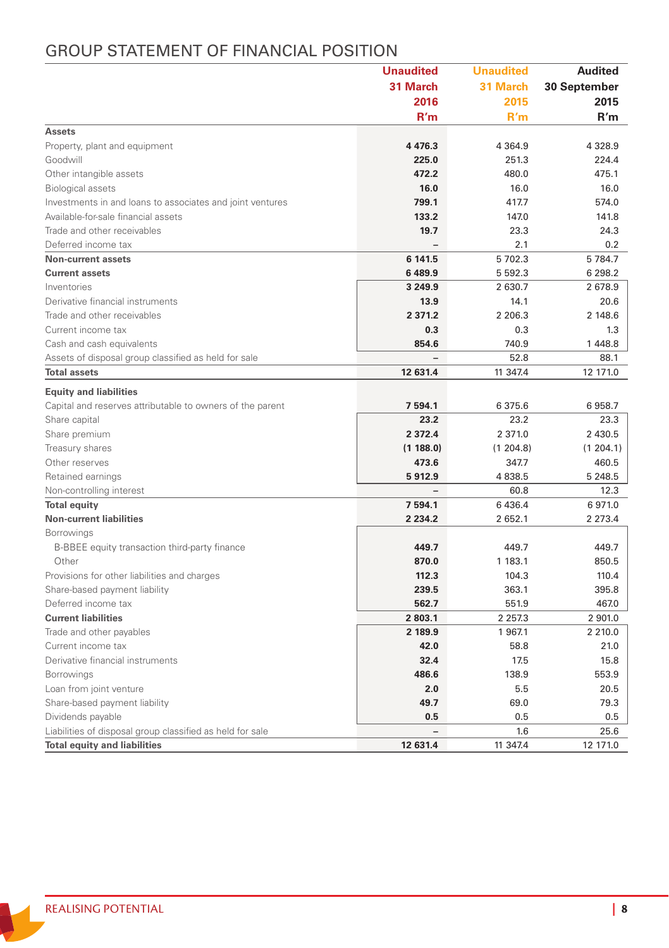### GROUP STATEMENT OF FINANCIAL POSITION

|                                                           | <b>Unaudited</b> | <b>Unaudited</b> | <b>Audited</b> |
|-----------------------------------------------------------|------------------|------------------|----------------|
|                                                           | 31 March         | 31 March         | 30 September   |
|                                                           | 2016             | 2015             | 2015           |
|                                                           | R'm              | R'm              | R'm            |
| <b>Assets</b>                                             |                  |                  |                |
| Property, plant and equipment                             | 4 4 7 6.3        | 4 3 6 4 .9       | 4 3 2 8 .9     |
| Goodwill                                                  | 225.0            | 251.3            | 224.4          |
| Other intangible assets                                   | 472.2            | 480.0            | 475.1          |
| <b>Biological assets</b>                                  | 16.0             | 16.0             | 16.0           |
| Investments in and loans to associates and joint ventures | 799.1            | 417.7            | 574.0          |
| Available-for-sale financial assets                       | 133.2            | 147.0            | 141.8          |
| Trade and other receivables                               | 19.7             | 23.3             | 24.3           |
| Deferred income tax                                       |                  | 2.1              | 0.2            |
| Non-current assets                                        | 6 141.5          | 5702.3           | 5 7 8 4.7      |
| <b>Current assets</b>                                     | 6 489.9          | 5 5 9 2.3        | 6 298.2        |
| Inventories                                               | 3 2 4 9 9        | 2 630.7          | 2678.9         |
| Derivative financial instruments                          | 13.9             | 14.1             | 20.6           |
| Trade and other receivables                               | 2 3 7 1 . 2      | 2 2 0 6.3        | 2 148.6        |
| Current income tax                                        | 0.3              | 0.3              | 1.3            |
| Cash and cash equivalents                                 | 854.6            | 740.9            | 1448.8         |
| Assets of disposal group classified as held for sale      |                  | 52.8             | 88.1           |
| <b>Total assets</b>                                       | 12 631.4         | 11 347.4         | 12 171.0       |
| <b>Equity and liabilities</b>                             |                  |                  |                |
| Capital and reserves attributable to owners of the parent | 7 594.1          | 6 375.6          | 6958.7         |
| Share capital                                             | 23.2             | 23.2             | 23.3           |
| Share premium                                             | 2 3 7 2 . 4      | 2 371.0          | 2 430.5        |
| Treasury shares                                           | (1188.0)         | (1204.8)         | (1204.1)       |
| Other reserves                                            | 473.6            | 347.7            | 460.5          |
| Retained earnings                                         | 5912.9           | 4838.5           | 5 2 4 8.5      |
| Non-controlling interest                                  |                  | 60.8             | 12.3           |
| <b>Total equity</b>                                       | 7 594.1          | 6 4 3 6.4        | 6971.0         |
| <b>Non-current liabilities</b>                            | 2 2 3 4 . 2      | 2 652.1          | 2 2 7 3.4      |
| Borrowings                                                |                  |                  |                |
| B-BBEE equity transaction third-party finance             | 449.7            | 449.7            | 449.7          |
| Other                                                     | 870.0            | 1 183.1          | 850.5          |
| Provisions for other liabilities and charges              | 112.3            | 104.3            | 110.4          |
| Share-based payment liability                             | 239.5            | 363.1            | 395.8          |
| Deferred income tax                                       | 562.7            | 551.9            | 467.0          |
| <b>Current liabilities</b>                                | 2 803.1          | 2 2 5 7 . 3      | 2 901.0        |
| Trade and other payables                                  | 2 189.9          | 1967.1           | 2 210.0        |
| Current income tax                                        | 42.0             | 58.8             | 21.0           |
| Derivative financial instruments                          | 32.4             | 17.5             | 15.8           |
| Borrowings                                                | 486.6            | 138.9            | 553.9          |
| Loan from joint venture                                   | 2.0              | 5.5              | 20.5           |
| Share-based payment liability                             | 49.7             | 69.0             | 79.3           |
| Dividends payable                                         | 0.5              | 0.5              | 0.5            |
| Liabilities of disposal group classified as held for sale |                  | 1.6              | 25.6           |
| <b>Total equity and liabilities</b>                       | 12 631.4         | 11 347.4         | 12 171.0       |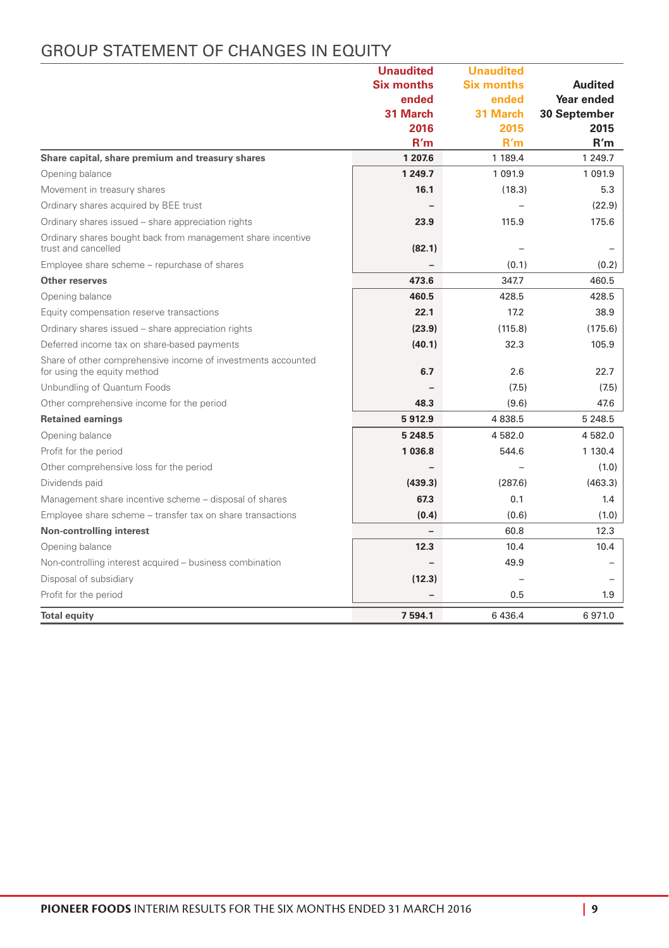|                   | <b>GROUP STATEMENT OF CHANGES IN EQUITY</b> |
|-------------------|---------------------------------------------|
| <b>Unaudited</b>  | Unaudited                                   |
| <b>Six months</b> | Six months                                  |
| ended             | ended                                       |
| 31 March          | 31 March                                    |

|                                                                                             | <b>Six months</b> | <b>Six months</b> | Audited      |
|---------------------------------------------------------------------------------------------|-------------------|-------------------|--------------|
|                                                                                             | ended             | ended             | Year ended   |
|                                                                                             | 31 March          | 31 March          | 30 September |
|                                                                                             | 2016              | 2015              | 2015         |
|                                                                                             | R'm               | R'm               | R'm          |
| Share capital, share premium and treasury shares                                            | 1 207.6           | 1 189.4           | 1 249.7      |
| Opening balance                                                                             | 1 249.7           | 1 0 9 1.9         | 1 0 9 1 . 9  |
| Movement in treasury shares                                                                 | 16.1              | (18.3)            | 5.3          |
| Ordinary shares acquired by BEE trust                                                       |                   |                   | (22.9)       |
| Ordinary shares issued - share appreciation rights                                          | 23.9              | 115.9             | 175.6        |
| Ordinary shares bought back from management share incentive<br>trust and cancelled          | (82.1)            |                   |              |
| Employee share scheme - repurchase of shares                                                |                   | (0.1)             | (0.2)        |
| Other reserves                                                                              | 473.6             | 347.7             | 460.5        |
| Opening balance                                                                             | 460.5             | 428.5             | 428.5        |
| Equity compensation reserve transactions                                                    | 22.1              | 17.2              | 38.9         |
| Ordinary shares issued - share appreciation rights                                          | (23.9)            | (115.8)           | (175.6)      |
| Deferred income tax on share-based payments                                                 | (40.1)            | 32.3              | 105.9        |
| Share of other comprehensive income of investments accounted<br>for using the equity method | 6.7               | 2.6               | 22.7         |
| Unbundling of Quantum Foods                                                                 |                   | (7.5)             | (7.5)        |
| Other comprehensive income for the period                                                   | 48.3              | (9.6)             | 47.6         |
| <b>Retained earnings</b>                                                                    | 5912.9            | 4 8 3 8.5         | 5 2 4 8 .5   |
| Opening balance                                                                             | 5 248.5           | 4 582.0           | 4582.0       |
| Profit for the period                                                                       | 1 036.8           | 544.6             | 1 130.4      |
| Other comprehensive loss for the period                                                     |                   |                   | (1.0)        |
| Dividends paid                                                                              | (439.3)           | (287.6)           | (463.3)      |
| Management share incentive scheme - disposal of shares                                      | 67.3              | 0.1               | 1.4          |
| Employee share scheme - transfer tax on share transactions                                  | (0.4)             | (0.6)             | (1.0)        |
| Non-controlling interest                                                                    |                   | 60.8              | 12.3         |
| Opening balance                                                                             | 12.3              | 10.4              | 10.4         |
| Non-controlling interest acquired - business combination                                    |                   | 49.9              |              |
| Disposal of subsidiary                                                                      | (12.3)            |                   |              |
| Profit for the period                                                                       |                   | 0.5               | 1.9          |
| <b>Total equity</b>                                                                         | 7594.1            | 6 436.4           | 6971.0       |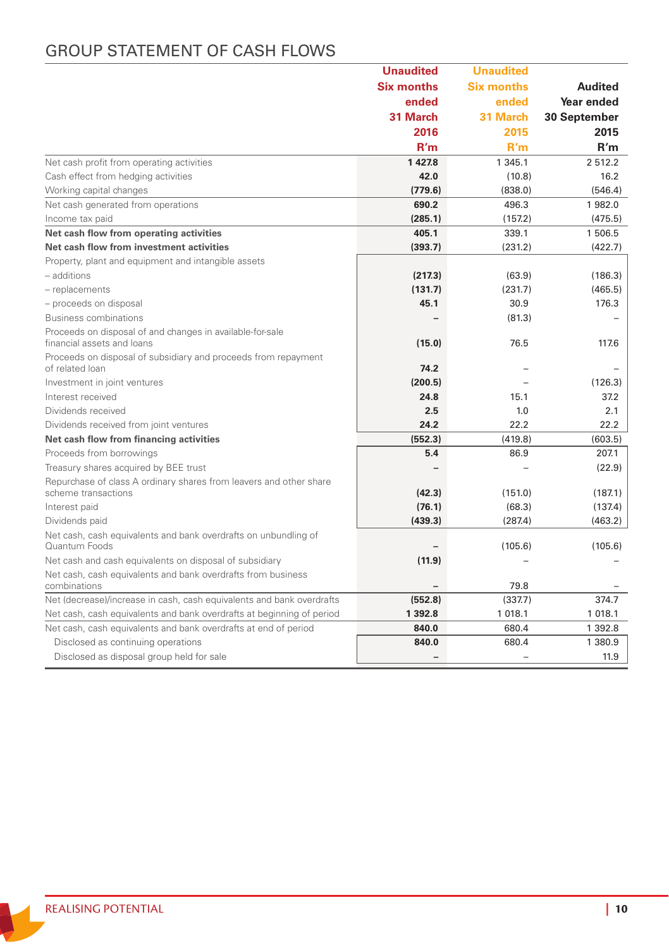## GROUP STATEMENT OF CASH FLOWS

|                                                                                   | <b>Unaudited</b>  | <b>Unaudited</b>  |                |
|-----------------------------------------------------------------------------------|-------------------|-------------------|----------------|
|                                                                                   | <b>Six months</b> | <b>Six months</b> | <b>Audited</b> |
|                                                                                   | ended             | ended             | Year ended     |
|                                                                                   | 31 March          | 31 March          | 30 September   |
|                                                                                   | 2016              | 2015              | 2015           |
|                                                                                   | R'm               | R'm               | R'm            |
| Net cash profit from operating activities                                         | 1427.8            | 1 345.1           | 2512.2         |
| Cash effect from hedging activities                                               | 42.0              | (10.8)            | 16.2           |
| Working capital changes                                                           | (779.6)           | (838.0)           | (546.4)        |
| Net cash generated from operations                                                | 690.2             | 496.3             | 1982.0         |
| Income tax paid                                                                   | (285.1)           | (157.2)           | (475.5)        |
| Net cash flow from operating activities                                           | 405.1             | 339.1             | 1 506.5        |
| Net cash flow from investment activities                                          | (393.7)           | (231.2)           | (422.7)        |
| Property, plant and equipment and intangible assets                               |                   |                   |                |
| - additions                                                                       | (217.3)           | (63.9)            | (186.3)        |
| - replacements                                                                    | (131.7)           | (231.7)           | (465.5)        |
| - proceeds on disposal                                                            | 45.1              | 30.9              | 176.3          |
| Business combinations                                                             |                   | (81.3)            |                |
| Proceeds on disposal of and changes in available-for-sale                         |                   |                   |                |
| financial assets and loans                                                        | (15.0)            | 76.5              | 117.6          |
| Proceeds on disposal of subsidiary and proceeds from repayment<br>of related loan | 74.2              |                   |                |
| Investment in joint ventures                                                      | (200.5)           |                   | (126.3)        |
| Interest received                                                                 | 24.8              | 15.1              | 37.2           |
| Dividends received                                                                | 2.5               | 1.0               | 2.1            |
| Dividends received from joint ventures                                            | 24.2              | 22.2              | 22.2           |
| Net cash flow from financing activities                                           | (552.3)           | (419.8)           | (603.5)        |
| Proceeds from borrowings                                                          | 5.4               | 86.9              | 207.1          |
| Treasury shares acquired by BEE trust                                             |                   |                   | (22.9)         |
| Repurchase of class A ordinary shares from leavers and other share                |                   |                   |                |
| scheme transactions                                                               | (42.3)            | (151.0)           | (187.1)        |
| Interest paid                                                                     | (76.1)            | (68.3)            | (137.4)        |
| Dividends paid                                                                    | (439.3)           | (287.4)           | (463.2)        |
| Net cash, cash equivalents and bank overdrafts on unbundling of<br>Quantum Foods  |                   | (105.6)           | (105.6)        |
| Net cash and cash equivalents on disposal of subsidiary                           | (11.9)            |                   |                |
| Net cash, cash equivalents and bank overdrafts from business<br>combinations      |                   | 79.8              |                |
| Net (decrease)/increase in cash, cash equivalents and bank overdrafts             | (552.8)           | (337.7)           | 374.7          |
| Net cash, cash equivalents and bank overdrafts at beginning of period             | 1 3 9 2.8         | 1 018.1           | 1 0 1 8.1      |
| Net cash, cash equivalents and bank overdrafts at end of period                   | 840.0             | 680.4             | 1 392.8        |
| Disclosed as continuing operations                                                | 840.0             | 680.4             | 1 380.9        |
| Disclosed as disposal group held for sale                                         |                   |                   | 11.9           |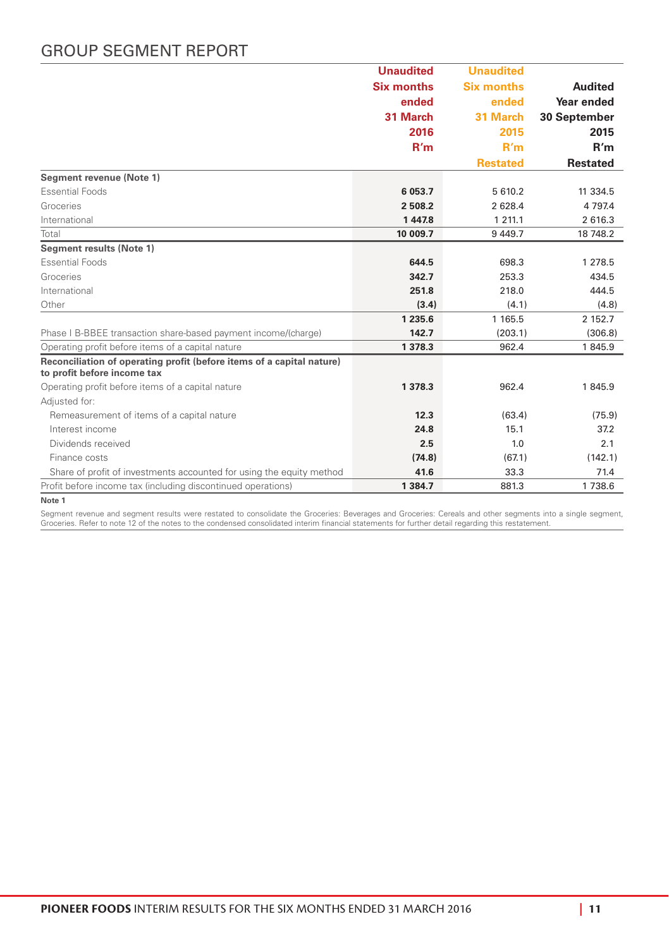### GROUP SEGMENT REPORT

|                                                                                                      | <b>Unaudited</b>  | <b>Unaudited</b>  |                 |
|------------------------------------------------------------------------------------------------------|-------------------|-------------------|-----------------|
|                                                                                                      | <b>Six months</b> | <b>Six months</b> | <b>Audited</b>  |
|                                                                                                      | ended             | ended             | Year ended      |
|                                                                                                      | 31 March          | 31 March          | 30 September    |
|                                                                                                      | 2016              | 2015              | 2015            |
|                                                                                                      | R'm               | R'm               | R'm             |
|                                                                                                      |                   | <b>Restated</b>   | <b>Restated</b> |
| Segment revenue (Note 1)                                                                             |                   |                   |                 |
| <b>Essential Foods</b>                                                                               | 6 053.7           | 5 610.2           | 11 334.5        |
| Groceries                                                                                            | 2508.2            | 2 628.4           | 4 7 9 7.4       |
| International                                                                                        | 1447.8            | 1 2 1 1.1         | 2 616.3         |
| Total                                                                                                | 10 009.7          | 9 4 4 9.7         | 18 748.2        |
| Segment results (Note 1)                                                                             |                   |                   |                 |
| <b>Essential Foods</b>                                                                               | 644.5             | 698.3             | 1 278.5         |
| Groceries                                                                                            | 342.7             | 253.3             | 434.5           |
| International                                                                                        | 251.8             | 218.0             | 444.5           |
| Other                                                                                                | (3.4)             | (4.1)             | (4.8)           |
|                                                                                                      | 1 235.6           | 1 1 6 5 . 5       | 2 152.7         |
| Phase I B-BBEE transaction share-based payment income/(charge)                                       | 142.7             | (203.1)           | (306.8)         |
| Operating profit before items of a capital nature                                                    | 1 378.3           | 962.4             | 1845.9          |
| Reconciliation of operating profit (before items of a capital nature)<br>to profit before income tax |                   |                   |                 |
| Operating profit before items of a capital nature                                                    | 1 378.3           | 962.4             | 1845.9          |
| Adiusted for:                                                                                        |                   |                   |                 |
| Remeasurement of items of a capital nature                                                           | 12.3              | (63.4)            | (75.9)          |
| Interest income                                                                                      | 24.8              | 15.1              | 37.2            |
| Dividends received                                                                                   | 2.5               | 1.0               | 2.1             |
| Finance costs                                                                                        | (74.8)            | (67.1)            | (142.1)         |
| Share of profit of investments accounted for using the equity method                                 | 41.6              | 33.3              | 71.4            |
| Profit before income tax (including discontinued operations)                                         | 1 3 8 4 . 7       | 881.3             | 1738.6          |

**Note 1**

Segment revenue and segment results were restated to consolidate the Groceries: Beverages and Groceries: Cereals and other segments into a single segment,<br>Groceries. Refer to note 12 of the notes to the condensed consolida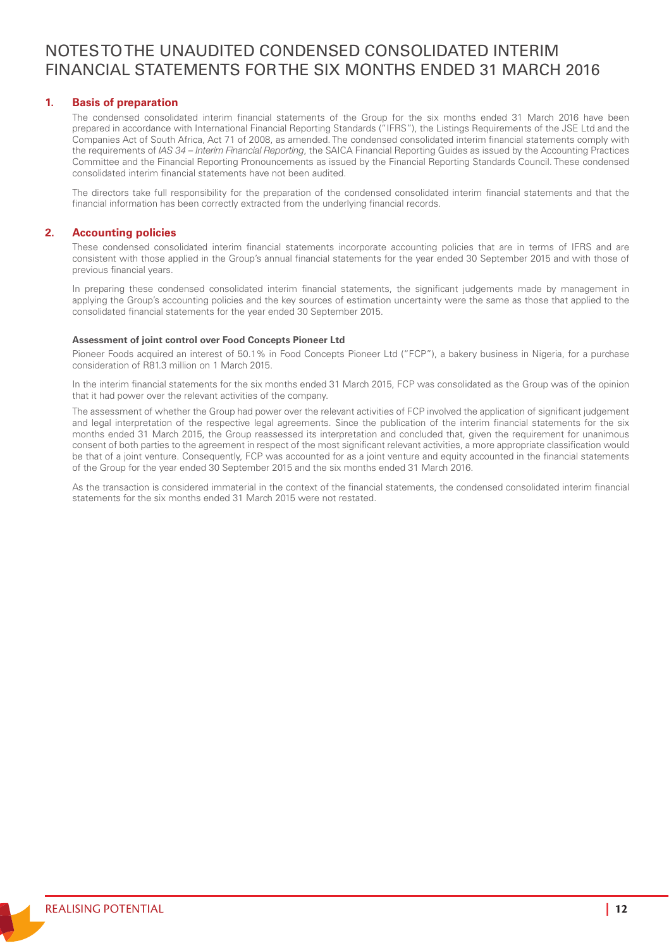### NOTES TO THE UNAUDITED CONDENSED CONSOLIDATED INTERIM FINANCIAL STATEMENTS FOR THE SIX MONTHS ENDED 31 MARCH 2016

#### **1. Basis of preparation**

The condensed consolidated interim financial statements of the Group for the six months ended 31 March 2016 have been prepared in accordance with International Financial Reporting Standards ("IFRS"), the Listings Requirements of the JSE Ltd and the Companies Act of South Africa, Act 71 of 2008, as amended. The condensed consolidated interim financial statements comply with the requirements of *IAS 34 – Interim Financial Reporting*, the SAICA Financial Reporting Guides as issued by the Accounting Practices Committee and the Financial Reporting Pronouncements as issued by the Financial Reporting Standards Council. These condensed consolidated interim financial statements have not been audited.

The directors take full responsibility for the preparation of the condensed consolidated interim financial statements and that the financial information has been correctly extracted from the underlying financial records.

#### **2. Accounting policies**

These condensed consolidated interim financial statements incorporate accounting policies that are in terms of IFRS and are consistent with those applied in the Group's annual financial statements for the year ended 30 September 2015 and with those of previous financial years.

In preparing these condensed consolidated interim financial statements, the significant judgements made by management in applying the Group's accounting policies and the key sources of estimation uncertainty were the same as those that applied to the consolidated financial statements for the year ended 30 September 2015.

#### **Assessment of joint control over Food Concepts Pioneer Ltd**

Pioneer Foods acquired an interest of 50.1% in Food Concepts Pioneer Ltd ("FCP"), a bakery business in Nigeria, for a purchase consideration of R81.3 million on 1 March 2015.

In the interim financial statements for the six months ended 31 March 2015, FCP was consolidated as the Group was of the opinion that it had power over the relevant activities of the company.

The assessment of whether the Group had power over the relevant activities of FCP involved the application of significant judgement and legal interpretation of the respective legal agreements. Since the publication of the interim financial statements for the six months ended 31 March 2015, the Group reassessed its interpretation and concluded that, given the requirement for unanimous consent of both parties to the agreement in respect of the most significant relevant activities, a more appropriate classification would be that of a joint venture. Consequently, FCP was accounted for as a joint venture and equity accounted in the financial statements of the Group for the year ended 30 September 2015 and the six months ended 31 March 2016.

As the transaction is considered immaterial in the context of the financial statements, the condensed consolidated interim financial statements for the six months ended 31 March 2015 were not restated.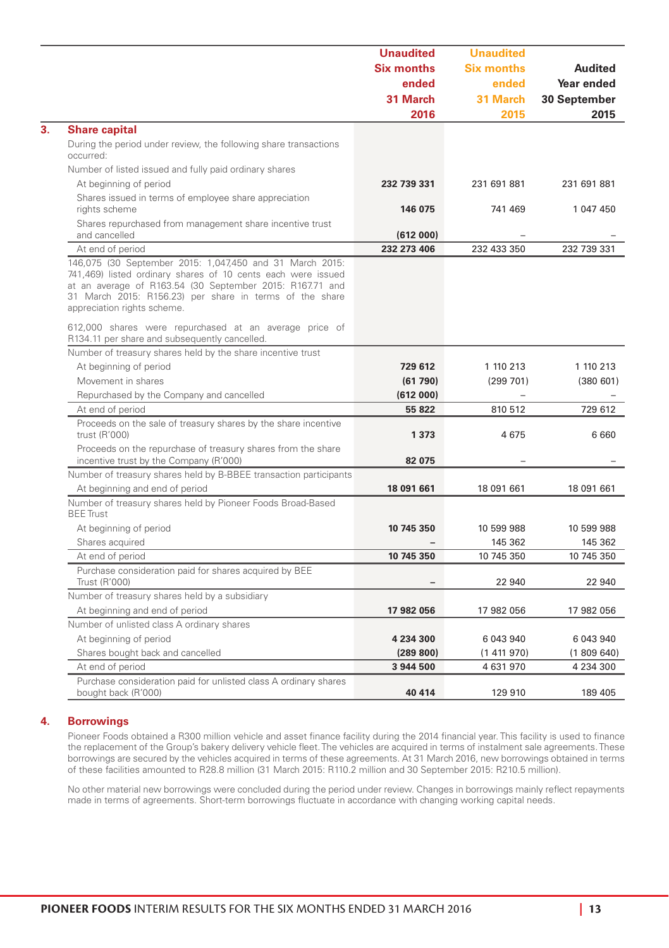|                                                                                                                                                                                                                                                                                | <b>Unaudited</b>  | <b>Unaudited</b>  |              |
|--------------------------------------------------------------------------------------------------------------------------------------------------------------------------------------------------------------------------------------------------------------------------------|-------------------|-------------------|--------------|
|                                                                                                                                                                                                                                                                                | <b>Six months</b> | <b>Six months</b> | Audited      |
|                                                                                                                                                                                                                                                                                | ended             | ended             | Year ended   |
|                                                                                                                                                                                                                                                                                | 31 March          | 31 March          | 30 September |
|                                                                                                                                                                                                                                                                                | 2016              | 2015              | 2015         |
| <b>Share capital</b>                                                                                                                                                                                                                                                           |                   |                   |              |
| During the period under review, the following share transactions<br>occurred:                                                                                                                                                                                                  |                   |                   |              |
| Number of listed issued and fully paid ordinary shares                                                                                                                                                                                                                         |                   |                   |              |
| At beginning of period                                                                                                                                                                                                                                                         | 232 739 331       | 231 691 881       | 231 691 881  |
| Shares issued in terms of employee share appreciation<br>rights scheme                                                                                                                                                                                                         | 146 075           | 741 469           | 1 047 450    |
| Shares repurchased from management share incentive trust<br>and cancelled                                                                                                                                                                                                      | (612000)          |                   |              |
| At end of period                                                                                                                                                                                                                                                               | 232 273 406       | 232 433 350       | 232 739 331  |
| 146,075 (30 September 2015: 1,047,450 and 31 March 2015:<br>741,469) listed ordinary shares of 10 cents each were issued<br>at an average of R163.54 (30 September 2015: R167.71 and<br>31 March 2015: R156.23) per share in terms of the share<br>appreciation rights scheme. |                   |                   |              |
| 612,000 shares were repurchased at an average price of<br>R134.11 per share and subsequently cancelled.                                                                                                                                                                        |                   |                   |              |
| Number of treasury shares held by the share incentive trust                                                                                                                                                                                                                    |                   |                   |              |
| At beginning of period                                                                                                                                                                                                                                                         | 729 612           | 1 110 213         | 1 110 213    |
| Movement in shares                                                                                                                                                                                                                                                             | (61790)           | (299701)          | (380601)     |
| Repurchased by the Company and cancelled                                                                                                                                                                                                                                       | (612000)          |                   |              |
| At end of period                                                                                                                                                                                                                                                               | 55 822            | 810 512           | 729 612      |
| Proceeds on the sale of treasury shares by the share incentive<br>trust (R'000)                                                                                                                                                                                                | 1373              | 4675              | 6 6 6 0      |
| Proceeds on the repurchase of treasury shares from the share<br>incentive trust by the Company (R'000)                                                                                                                                                                         | 82 075            |                   |              |
| Number of treasury shares held by B-BBEE transaction participants                                                                                                                                                                                                              |                   |                   |              |
| At beginning and end of period                                                                                                                                                                                                                                                 | 18 091 661        | 18 091 661        | 18 091 661   |
| Number of treasury shares held by Pioneer Foods Broad-Based<br><b>BEE</b> Trust                                                                                                                                                                                                |                   |                   |              |
| At beginning of period                                                                                                                                                                                                                                                         | 10 745 350        | 10 599 988        | 10 599 988   |
| Shares acquired                                                                                                                                                                                                                                                                |                   | 145 362           | 145 362      |
| At end of period                                                                                                                                                                                                                                                               | 10 745 350        | 10 745 350        | 10 745 350   |
| Purchase consideration paid for shares acquired by BEE<br>Trust (R'000)                                                                                                                                                                                                        |                   | 22 940            | 22 940       |
| Number of treasury shares held by a subsidiary                                                                                                                                                                                                                                 |                   |                   |              |
| At beginning and end of period                                                                                                                                                                                                                                                 | 17 982 056        | 17 982 056        | 17 982 056   |
| Number of unlisted class A ordinary shares                                                                                                                                                                                                                                     |                   |                   |              |
| At beginning of period                                                                                                                                                                                                                                                         | 4 234 300         | 6 043 940         | 6 043 940    |
| Shares bought back and cancelled                                                                                                                                                                                                                                               | (289 800)         | (1411970)         | (1809640)    |
| At end of period                                                                                                                                                                                                                                                               | 3 944 500         | 4 631 970         | 4 234 300    |
| Purchase consideration paid for unlisted class A ordinary shares<br>bought back (R'000)                                                                                                                                                                                        | 40 414            | 129 910           | 189 405      |

#### **4. Borrowings**

Pioneer Foods obtained a R300 million vehicle and asset finance facility during the 2014 financial year. This facility is used to finance the replacement of the Group's bakery delivery vehicle fleet. The vehicles are acquired in terms of instalment sale agreements. These borrowings are secured by the vehicles acquired in terms of these agreements. At 31 March 2016, new borrowings obtained in terms of these facilities amounted to R28.8 million (31 March 2015: R110.2 million and 30 September 2015: R210.5 million).

No other material new borrowings were concluded during the period under review. Changes in borrowings mainly reflect repayments made in terms of agreements. Short-term borrowings fluctuate in accordance with changing working capital needs.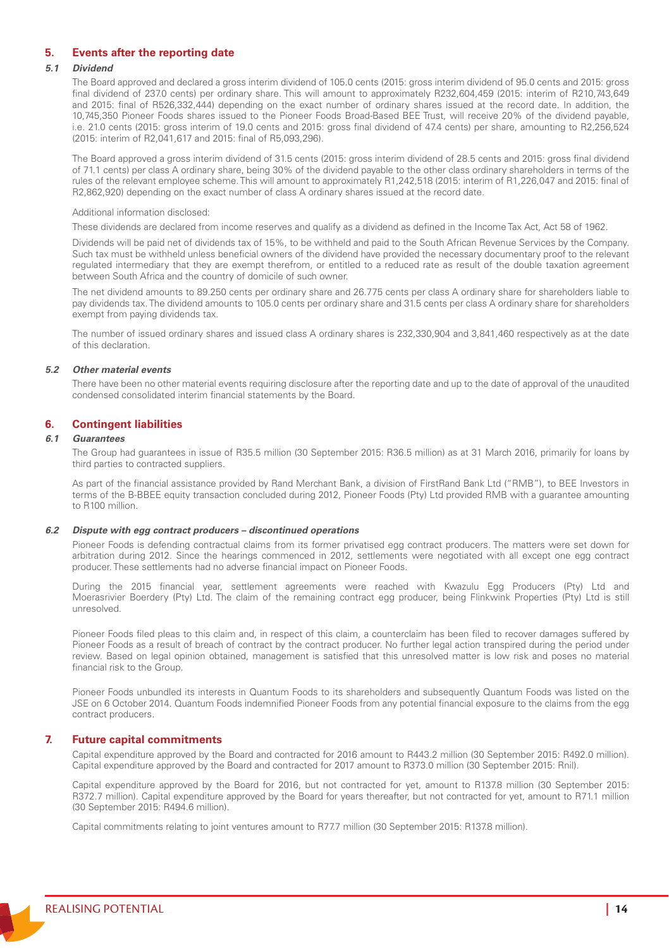#### **5. Events after the reporting date**

#### *5.1 Dividend*

The Board approved and declared a gross interim dividend of 105.0 cents (2015: gross interim dividend of 95.0 cents and 2015: gross final dividend of 237.0 cents) per ordinary share. This will amount to approximately R232,604,459 (2015: interim of R210,743,649 and 2015: final of R526,332,444) depending on the exact number of ordinary shares issued at the record date. In addition, the 10,745,350 Pioneer Foods shares issued to the Pioneer Foods Broad-Based BEE Trust, will receive 20% of the dividend payable, i.e. 21.0 cents (2015: gross interim of 19.0 cents and 2015: gross final dividend of 47.4 cents) per share, amounting to R2,256,524 (2015: interim of R2,041,617 and 2015: final of R5,093,296).

The Board approved a gross interim dividend of 31.5 cents (2015: gross interim dividend of 28.5 cents and 2015: gross final dividend of 71.1 cents) per class A ordinary share, being 30% of the dividend payable to the other class ordinary shareholders in terms of the rules of the relevant employee scheme. This will amount to approximately R1,242,518 (2015: interim of R1,226,047 and 2015: final of R2,862,920) depending on the exact number of class A ordinary shares issued at the record date.

#### Additional information disclosed:

These dividends are declared from income reserves and qualify as a dividend as defined in the Income Tax Act, Act 58 of 1962.

Dividends will be paid net of dividends tax of 15%, to be withheld and paid to the South African Revenue Services by the Company. Such tax must be withheld unless beneficial owners of the dividend have provided the necessary documentary proof to the relevant regulated intermediary that they are exempt therefrom, or entitled to a reduced rate as result of the double taxation agreement between South Africa and the country of domicile of such owner.

The net dividend amounts to 89.250 cents per ordinary share and 26.775 cents per class A ordinary share for shareholders liable to pay dividends tax. The dividend amounts to 105.0 cents per ordinary share and 31.5 cents per class A ordinary share for shareholders exempt from paying dividends tax.

The number of issued ordinary shares and issued class A ordinary shares is 232,330,904 and 3,841,460 respectively as at the date of this declaration.

#### *5.2 Other material events*

There have been no other material events requiring disclosure after the reporting date and up to the date of approval of the unaudited condensed consolidated interim financial statements by the Board.

#### **6. Contingent liabilities**

#### *6.1 Guarantees*

The Group had guarantees in issue of R35.5 million (30 September 2015: R36.5 million) as at 31 March 2016, primarily for loans by third parties to contracted suppliers.

As part of the financial assistance provided by Rand Merchant Bank, a division of FirstRand Bank Ltd ("RMB"), to BEE Investors in terms of the B-BBEE equity transaction concluded during 2012, Pioneer Foods (Pty) Ltd provided RMB with a guarantee amounting to R100 million.

#### *6.2 Dispute with egg contract producers – discontinued operations*

Pioneer Foods is defending contractual claims from its former privatised egg contract producers. The matters were set down for arbitration during 2012. Since the hearings commenced in 2012, settlements were negotiated with all except one egg contract producer. These settlements had no adverse financial impact on Pioneer Foods.

During the 2015 financial year, settlement agreements were reached with Kwazulu Egg Producers (Pty) Ltd and Moerasrivier Boerdery (Pty) Ltd. The claim of the remaining contract egg producer, being Flinkwink Properties (Pty) Ltd is still unresolved.

Pioneer Foods filed pleas to this claim and, in respect of this claim, a counterclaim has been filed to recover damages suffered by Pioneer Foods as a result of breach of contract by the contract producer. No further legal action transpired during the period under review. Based on legal opinion obtained, management is satisfied that this unresolved matter is low risk and poses no material financial risk to the Group.

Pioneer Foods unbundled its interests in Quantum Foods to its shareholders and subsequently Quantum Foods was listed on the JSE on 6 October 2014. Quantum Foods indemnified Pioneer Foods from any potential financial exposure to the claims from the egg contract producers.

#### **7. Future capital commitments**

Capital expenditure approved by the Board and contracted for 2016 amount to R443.2 million (30 September 2015: R492.0 million). Capital expenditure approved by the Board and contracted for 2017 amount to R373.0 million (30 September 2015: Rnil).

Capital expenditure approved by the Board for 2016, but not contracted for yet, amount to R137.8 million (30 September 2015: R372.7 million). Capital expenditure approved by the Board for years thereafter, but not contracted for yet, amount to R71.1 million (30 September 2015: R494.6 million).

Capital commitments relating to joint ventures amount to R77.7 million (30 September 2015: R137.8 million).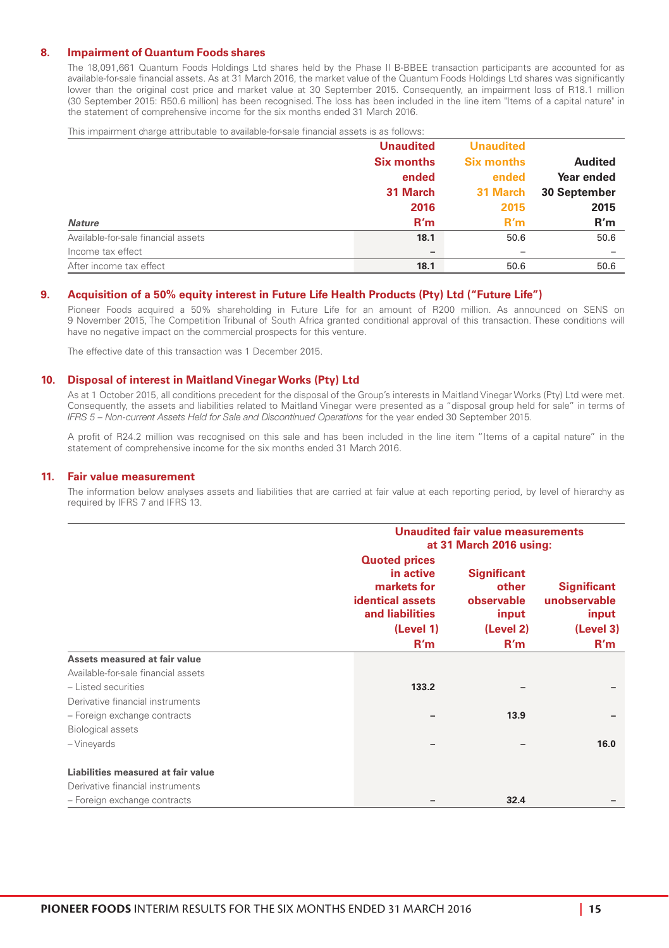#### **8. Impairment of Quantum Foods shares**

The 18,091,661 Quantum Foods Holdings Ltd shares held by the Phase II B-BBEE transaction participants are accounted for as available-for-sale financial assets. As at 31 March 2016, the market value of the Quantum Foods Holdings Ltd shares was significantly lower than the original cost price and market value at 30 September 2015. Consequently, an impairment loss of R18.1 million (30 September 2015: R50.6 million) has been recognised. The loss has been included in the line item "Items of a capital nature" in the statement of comprehensive income for the six months ended 31 March 2016.

This impairment charge attributable to available-for-sale financial assets is as follows:

|                                     | <b>Unaudited</b>  | <b>Unaudited</b>  |                |
|-------------------------------------|-------------------|-------------------|----------------|
|                                     | <b>Six months</b> | <b>Six months</b> | <b>Audited</b> |
|                                     | ended             | ended             | Year ended     |
|                                     | 31 March          | 31 March          | 30 September   |
|                                     | 2016              | 2015              | 2015           |
| <b>Nature</b>                       | R'm               | R'm               | R'm            |
| Available-for-sale financial assets | 18.1              | 50.6              | 50.6           |
| Income tax effect                   | -                 |                   |                |
| After income tax effect             | 18.1              | 50.6              | 50.6           |

#### **9. Acquisition of a 50% equity interest in Future Life Health Products (Pty) Ltd ("Future Life")**

Pioneer Foods acquired a 50% shareholding in Future Life for an amount of R200 million. As announced on SENS on 9 November 2015, The Competition Tribunal of South Africa granted conditional approval of this transaction. These conditions will have no negative impact on the commercial prospects for this venture.

The effective date of this transaction was 1 December 2015.

#### **10. Disposal of interest in Maitland Vinegar Works (Pty) Ltd**

As at 1 October 2015, all conditions precedent for the disposal of the Group's interests in Maitland Vinegar Works (Pty) Ltd were met. Consequently, the assets and liabilities related to Maitland Vinegar were presented as a "disposal group held for sale" in terms of *IFRS 5 – Non-current Assets Held for Sale and Discontinued Operations* for the year ended 30 September 2015.

A profit of R24.2 million was recognised on this sale and has been included in the line item "Items of a capital nature" in the statement of comprehensive income for the six months ended 31 March 2016.

#### **11. Fair value measurement**

The information below analyses assets and liabilities that are carried at fair value at each reporting period, by level of hierarchy as required by IFRS 7 and IFRS 13.

|                                     |                         | Unaudited fair value measurements<br>at 31 March 2016 using:                            |                                                                        |                                                                 |  |
|-------------------------------------|-------------------------|-----------------------------------------------------------------------------------------|------------------------------------------------------------------------|-----------------------------------------------------------------|--|
|                                     | <b>identical assets</b> | <b>Quoted prices</b><br>in active<br>markets for<br>and liabilities<br>(Level 1)<br>R'm | <b>Significant</b><br>other<br>observable<br>input<br>(Level 2)<br>R'm | <b>Significant</b><br>unobservable<br>input<br>(Level 3)<br>R'm |  |
| Assets measured at fair value       |                         |                                                                                         |                                                                        |                                                                 |  |
| Available-for-sale financial assets |                         |                                                                                         |                                                                        |                                                                 |  |
| - Listed securities                 |                         | 133.2                                                                                   |                                                                        |                                                                 |  |
| Derivative financial instruments    |                         |                                                                                         |                                                                        |                                                                 |  |
| - Foreign exchange contracts        |                         |                                                                                         | 13.9                                                                   |                                                                 |  |
| <b>Biological assets</b>            |                         |                                                                                         |                                                                        |                                                                 |  |
| -Vineyards                          |                         | -                                                                                       |                                                                        | 16.0                                                            |  |
|                                     |                         |                                                                                         |                                                                        |                                                                 |  |
| Liabilities measured at fair value  |                         |                                                                                         |                                                                        |                                                                 |  |
| Derivative financial instruments    |                         |                                                                                         |                                                                        |                                                                 |  |
| - Foreign exchange contracts        |                         |                                                                                         | 32.4                                                                   |                                                                 |  |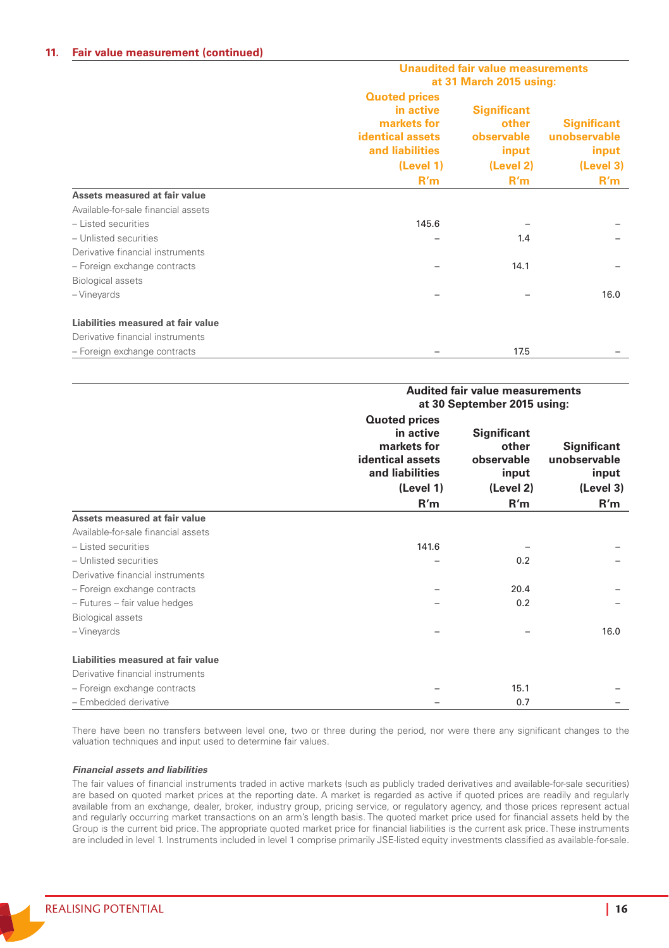#### **11. Fair value measurement (continued)**

|                                     | Unaudited fair value measurements<br>at 31 March 2015 using:                                   |                                                    |                                             |  |
|-------------------------------------|------------------------------------------------------------------------------------------------|----------------------------------------------------|---------------------------------------------|--|
|                                     | <b>Quoted prices</b><br>in active<br>markets for<br><b>identical assets</b><br>and liabilities | <b>Significant</b><br>other<br>observable<br>input | <b>Significant</b><br>unobservable<br>input |  |
|                                     | (Level 1)                                                                                      | (Level 2)                                          | (Level 3)                                   |  |
|                                     | R'm                                                                                            | R'm                                                | R'm                                         |  |
| Assets measured at fair value       |                                                                                                |                                                    |                                             |  |
| Available-for-sale financial assets |                                                                                                |                                                    |                                             |  |
| - Listed securities                 | 145.6                                                                                          |                                                    |                                             |  |
| - Unlisted securities               |                                                                                                | 1.4                                                |                                             |  |
| Derivative financial instruments    |                                                                                                |                                                    |                                             |  |
| - Foreign exchange contracts        |                                                                                                | 14.1                                               |                                             |  |
| <b>Biological assets</b>            |                                                                                                |                                                    |                                             |  |
| - Vineyards                         |                                                                                                |                                                    | 16.0                                        |  |
| Liabilities measured at fair value  |                                                                                                |                                                    |                                             |  |
| Derivative financial instruments    |                                                                                                |                                                    |                                             |  |
| - Foreign exchange contracts        |                                                                                                | 17.5                                               |                                             |  |

|                                     | <b>Audited fair value measurements</b><br>at 30 September 2015 using:                                       |                                                                        |                                                                 |  |
|-------------------------------------|-------------------------------------------------------------------------------------------------------------|------------------------------------------------------------------------|-----------------------------------------------------------------|--|
|                                     | <b>Quoted prices</b><br>in active<br>markets for<br>identical assets<br>and liabilities<br>(Level 1)<br>R'm | <b>Significant</b><br>other<br>observable<br>input<br>(Level 2)<br>R'm | <b>Significant</b><br>unobservable<br>input<br>(Level 3)<br>R'm |  |
| Assets measured at fair value       |                                                                                                             |                                                                        |                                                                 |  |
| Available-for-sale financial assets |                                                                                                             |                                                                        |                                                                 |  |
| - Listed securities                 | 141.6                                                                                                       |                                                                        |                                                                 |  |
| - Unlisted securities               |                                                                                                             | 0.2                                                                    |                                                                 |  |
| Derivative financial instruments    |                                                                                                             |                                                                        |                                                                 |  |
| - Foreign exchange contracts        |                                                                                                             | 20.4                                                                   |                                                                 |  |
| - Futures - fair value hedges       |                                                                                                             | 0.2                                                                    |                                                                 |  |
| <b>Biological assets</b>            |                                                                                                             |                                                                        |                                                                 |  |
| - Vineyards                         |                                                                                                             |                                                                        | 16.0                                                            |  |
| Liabilities measured at fair value  |                                                                                                             |                                                                        |                                                                 |  |
| Derivative financial instruments    |                                                                                                             |                                                                        |                                                                 |  |
| - Foreign exchange contracts        |                                                                                                             | 15.1                                                                   |                                                                 |  |
| - Embedded derivative               |                                                                                                             | 0.7                                                                    |                                                                 |  |

There have been no transfers between level one, two or three during the period, nor were there any significant changes to the valuation techniques and input used to determine fair values.

#### *Financial assets and liabilities*

The fair values of financial instruments traded in active markets (such as publicly traded derivatives and available-for-sale securities) are based on quoted market prices at the reporting date. A market is regarded as active if quoted prices are readily and regularly available from an exchange, dealer, broker, industry group, pricing service, or regulatory agency, and those prices represent actual and regularly occurring market transactions on an arm's length basis. The quoted market price used for financial assets held by the Group is the current bid price. The appropriate quoted market price for financial liabilities is the current ask price. These instruments are included in level 1. Instruments included in level 1 comprise primarily JSE-listed equity investments classified as available-for-sale.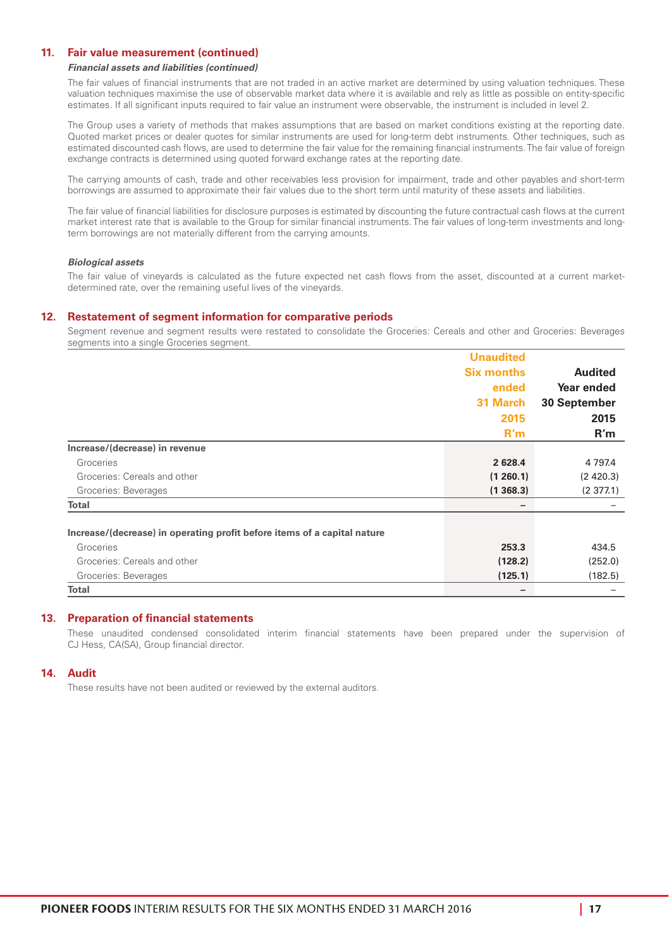#### **11. Fair value measurement (continued)**

#### *Financial assets and liabilities (continued)*

The fair values of financial instruments that are not traded in an active market are determined by using valuation techniques. These valuation techniques maximise the use of observable market data where it is available and rely as little as possible on entity-specific estimates. If all significant inputs required to fair value an instrument were observable, the instrument is included in level 2.

The Group uses a variety of methods that makes assumptions that are based on market conditions existing at the reporting date. Quoted market prices or dealer quotes for similar instruments are used for long-term debt instruments. Other techniques, such as estimated discounted cash flows, are used to determine the fair value for the remaining financial instruments. The fair value of foreign exchange contracts is determined using quoted forward exchange rates at the reporting date.

The carrying amounts of cash, trade and other receivables less provision for impairment, trade and other payables and short-term borrowings are assumed to approximate their fair values due to the short term until maturity of these assets and liabilities.

The fair value of financial liabilities for disclosure purposes is estimated by discounting the future contractual cash flows at the current market interest rate that is available to the Group for similar financial instruments. The fair values of long-term investments and longterm borrowings are not materially different from the carrying amounts.

#### *Biological assets*

The fair value of vineyards is calculated as the future expected net cash flows from the asset, discounted at a current marketdetermined rate, over the remaining useful lives of the vineyards.

#### **12. Restatement of segment information for comparative periods**

Segment revenue and segment results were restated to consolidate the Groceries: Cereals and other and Groceries: Beverages segments into a single Groceries segment.

|                                                                          | <b>Unaudited</b>  |                |
|--------------------------------------------------------------------------|-------------------|----------------|
|                                                                          | <b>Six months</b> | <b>Audited</b> |
|                                                                          | ended             | Year ended     |
|                                                                          | 31 March          | 30 September   |
|                                                                          | 2015              | 2015           |
|                                                                          | R'm               | R'm            |
| Increase/(decrease) in revenue                                           |                   |                |
| Groceries                                                                | 2 6 28.4          | 4 7 9 7.4      |
| Groceries: Cereals and other                                             | (1260.1)          | (2, 420.3)     |
| Groceries: Beverages                                                     | (1368.3)          | (2377.1)       |
| Total                                                                    |                   |                |
| Increase/(decrease) in operating profit before items of a capital nature |                   |                |
| Groceries                                                                | 253.3             | 434.5          |
| Groceries: Cereals and other                                             | (128.2)           | (252.0)        |
| Groceries: Beverages                                                     | (125.1)           | (182.5)        |
| Total                                                                    |                   |                |

#### **13. Preparation of financial statements**

These unaudited condensed consolidated interim financial statements have been prepared under the supervision of CJ Hess, CA(SA), Group financial director.

#### **14. Audit**

These results have not been audited or reviewed by the external auditors.